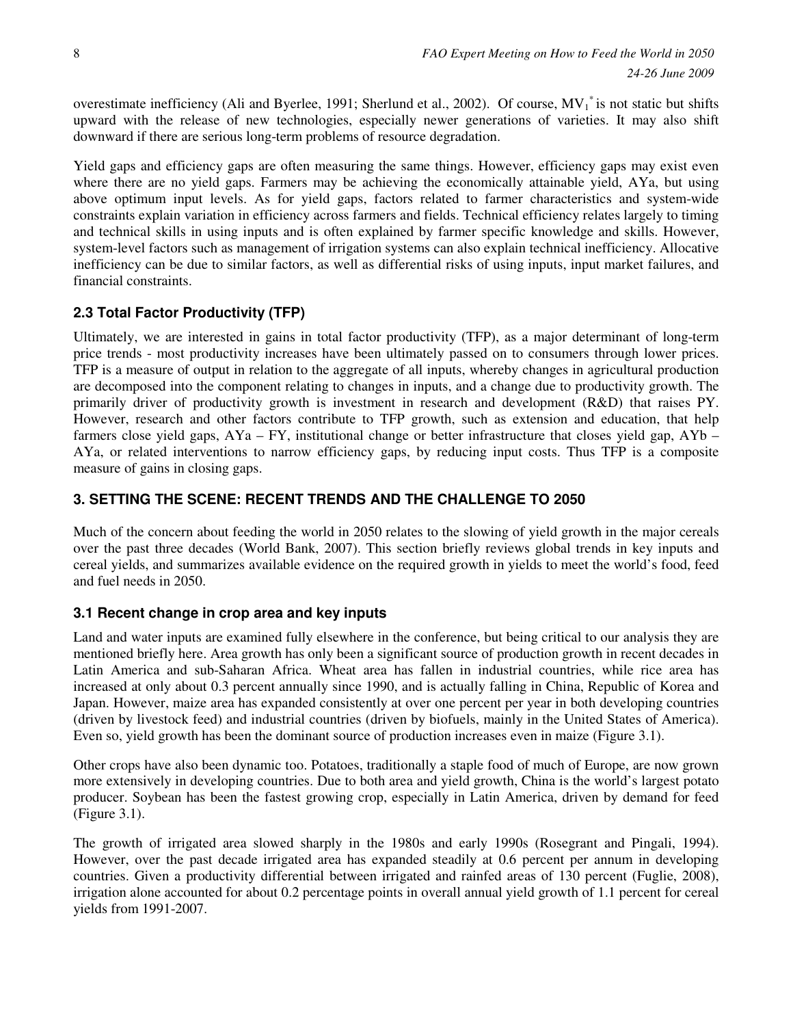overestimate inefficiency (Ali and Byerlee, 1991; Sherlund et al., 2002). Of course,  $MV_1^*$  is not static but shifts upward with the release of new technologies, especially newer generations of varieties. It may also shift downward if there are serious long-term problems of resource degradation.

Yield gaps and efficiency gaps are often measuring the same things. However, efficiency gaps may exist even where there are no yield gaps. Farmers may be achieving the economically attainable yield, AYa, but using above optimum input levels. As for yield gaps, factors related to farmer characteristics and system-wide constraints explain variation in efficiency across farmers and fields. Technical efficiency relates largely to timing and technical skills in using inputs and is often explained by farmer specific knowledge and skills. However, system-level factors such as management of irrigation systems can also explain technical inefficiency. Allocative inefficiency can be due to similar factors, as well as differential risks of using inputs, input market failures, and financial constraints.

# **2.3 Total Factor Productivity (TFP)**

Ultimately, we are interested in gains in total factor productivity (TFP), as a major determinant of long-term price trends - most productivity increases have been ultimately passed on to consumers through lower prices. TFP is a measure of output in relation to the aggregate of all inputs, whereby changes in agricultural production are decomposed into the component relating to changes in inputs, and a change due to productivity growth. The primarily driver of productivity growth is investment in research and development (R&D) that raises PY. However, research and other factors contribute to TFP growth, such as extension and education, that help farmers close yield gaps, AYa – FY, institutional change or better infrastructure that closes yield gap, AYb – AYa, or related interventions to narrow efficiency gaps, by reducing input costs. Thus TFP is a composite measure of gains in closing gaps.

### **3. SETTING THE SCENE: RECENT TRENDS AND THE CHALLENGE TO 2050**

Much of the concern about feeding the world in 2050 relates to the slowing of yield growth in the major cereals over the past three decades (World Bank, 2007). This section briefly reviews global trends in key inputs and cereal yields, and summarizes available evidence on the required growth in yields to meet the world's food, feed and fuel needs in 2050.

### **3.1 Recent change in crop area and key inputs**

Land and water inputs are examined fully elsewhere in the conference, but being critical to our analysis they are mentioned briefly here. Area growth has only been a significant source of production growth in recent decades in Latin America and sub-Saharan Africa. Wheat area has fallen in industrial countries, while rice area has increased at only about 0.3 percent annually since 1990, and is actually falling in China, Republic of Korea and Japan. However, maize area has expanded consistently at over one percent per year in both developing countries (driven by livestock feed) and industrial countries (driven by biofuels, mainly in the United States of America). Even so, yield growth has been the dominant source of production increases even in maize (Figure 3.1).

Other crops have also been dynamic too. Potatoes, traditionally a staple food of much of Europe, are now grown more extensively in developing countries. Due to both area and yield growth, China is the world's largest potato producer. Soybean has been the fastest growing crop, especially in Latin America, driven by demand for feed (Figure 3.1).

The growth of irrigated area slowed sharply in the 1980s and early 1990s (Rosegrant and Pingali, 1994). However, over the past decade irrigated area has expanded steadily at 0.6 percent per annum in developing countries. Given a productivity differential between irrigated and rainfed areas of 130 percent (Fuglie, 2008), irrigation alone accounted for about 0.2 percentage points in overall annual yield growth of 1.1 percent for cereal yields from 1991-2007.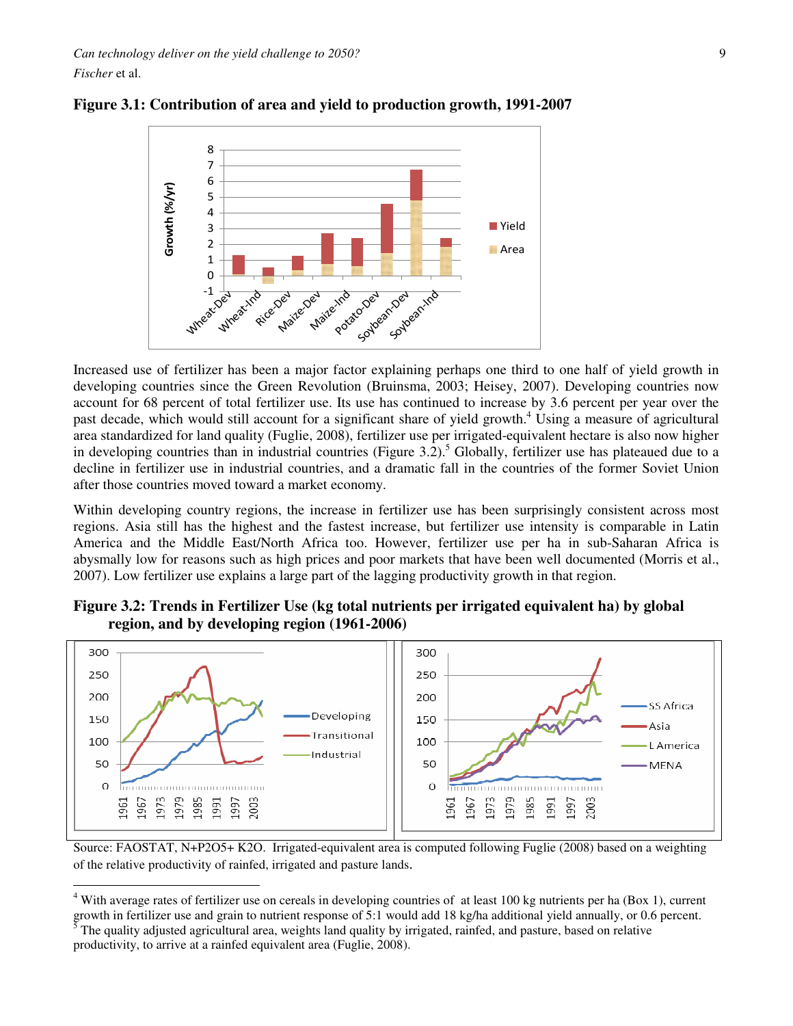*Can technology deliver on the yield challenge to 2050?* 9 *Fischer* et al.

 $\overline{a}$ 



**Figure 3.1: Contribution of area and yield to production growth, 1991-2007** 

Increased use of fertilizer has been a major factor explaining perhaps one third to one half of yield growth in developing countries since the Green Revolution (Bruinsma, 2003; Heisey, 2007). Developing countries now account for 68 percent of total fertilizer use. Its use has continued to increase by 3.6 percent per year over the past decade, which would still account for a significant share of yield growth.<sup>4</sup> Using a measure of agricultural area standardized for land quality (Fuglie, 2008), fertilizer use per irrigated-equivalent hectare is also now higher in developing countries than in industrial countries (Figure  $3.2$ ).<sup>5</sup> Globally, fertilizer use has plateaued due to a decline in fertilizer use in industrial countries, and a dramatic fall in the countries of the former Soviet Union after those countries moved toward a market economy.

Within developing country regions, the increase in fertilizer use has been surprisingly consistent across most regions. Asia still has the highest and the fastest increase, but fertilizer use intensity is comparable in Latin America and the Middle East/North Africa too. However, fertilizer use per ha in sub-Saharan Africa is abysmally low for reasons such as high prices and poor markets that have been well documented (Morris et al., 2007). Low fertilizer use explains a large part of the lagging productivity growth in that region.



**Figure 3.2: Trends in Fertilizer Use (kg total nutrients per irrigated equivalent ha) by global region, and by developing region (1961-2006)**

Source: FAOSTAT, N+P2O5+ K2O. Irrigated-equivalent area is computed following Fuglie (2008) based on a weighting of the relative productivity of rainfed, irrigated and pasture lands.

<sup>&</sup>lt;sup>4</sup> With average rates of fertilizer use on cereals in developing countries of at least 100 kg nutrients per ha (Box 1), current growth in fertilizer use and grain to nutrient response of 5:1 would add 18 kg/ha additional yield annually, or 0.6 percent.

<sup>5</sup> The quality adjusted agricultural area, weights land quality by irrigated, rainfed, and pasture, based on relative productivity, to arrive at a rainfed equivalent area (Fuglie, 2008).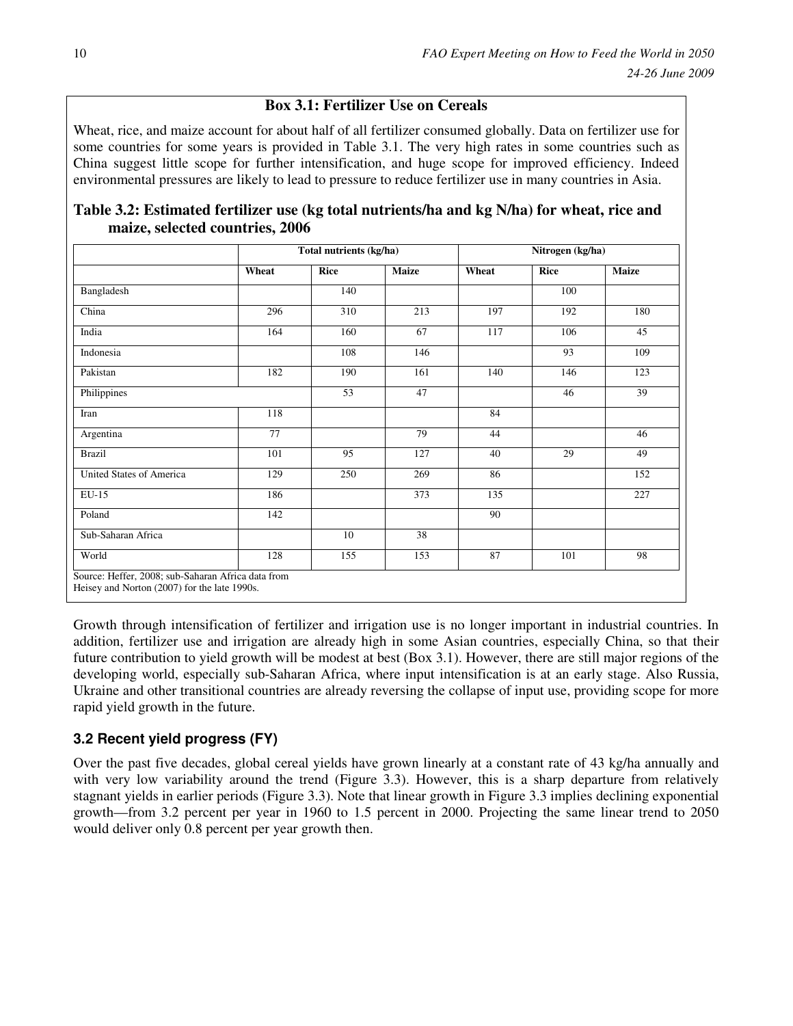### **Box 3.1: Fertilizer Use on Cereals**

Wheat, rice, and maize account for about half of all fertilizer consumed globally. Data on fertilizer use for some countries for some years is provided in Table 3.1. The very high rates in some countries such as China suggest little scope for further intensification, and huge scope for improved efficiency. Indeed environmental pressures are likely to lead to pressure to reduce fertilizer use in many countries in Asia.

| Table 3.2: Estimated fertilizer use (kg total nutrients/ha and kg N/ha) for wheat, rice and |  |  |
|---------------------------------------------------------------------------------------------|--|--|
| maize, selected countries, 2006                                                             |  |  |

|                          |       | Total nutrients (kg/ha) |              | Nitrogen (kg/ha) |      |              |  |
|--------------------------|-------|-------------------------|--------------|------------------|------|--------------|--|
|                          | Wheat | <b>Rice</b>             | <b>Maize</b> | Wheat            | Rice | <b>Maize</b> |  |
| Bangladesh               |       | 140                     |              |                  | 100  |              |  |
| China                    | 296   | 310                     | 213          | 197              | 192  | 180          |  |
| India                    | 164   | 160                     | 67           | 117              | 106  | 45           |  |
| Indonesia                |       | 108                     | 146          |                  | 93   | 109          |  |
| Pakistan                 | 182   | 190                     | 161          | 140              | 146  | 123          |  |
| Philippines              |       | 53                      | 47           |                  | 46   | 39           |  |
| Iran                     | 118   |                         |              | 84               |      |              |  |
| Argentina                | 77    |                         | 79           | 44               |      | 46           |  |
| <b>Brazil</b>            | 101   | $\overline{95}$         | 127          | 40               | 29   | 49           |  |
| United States of America | 129   | 250                     | 269          | 86               |      | 152          |  |
| $EU-15$                  | 186   |                         | 373          | 135              |      | 227          |  |
| Poland                   | 142   |                         |              | 90               |      |              |  |
| Sub-Saharan Africa       |       | 10                      | 38           |                  |      |              |  |
| World                    | 128   | 155                     | 153          | 87               | 101  | 98           |  |

Growth through intensification of fertilizer and irrigation use is no longer important in industrial countries. In addition, fertilizer use and irrigation are already high in some Asian countries, especially China, so that their future contribution to yield growth will be modest at best (Box 3.1). However, there are still major regions of the developing world, especially sub-Saharan Africa, where input intensification is at an early stage. Also Russia, Ukraine and other transitional countries are already reversing the collapse of input use, providing scope for more rapid yield growth in the future.

# **3.2 Recent yield progress (FY)**

Over the past five decades, global cereal yields have grown linearly at a constant rate of 43 kg/ha annually and with very low variability around the trend (Figure 3.3). However, this is a sharp departure from relatively stagnant yields in earlier periods (Figure 3.3). Note that linear growth in Figure 3.3 implies declining exponential growth—from 3.2 percent per year in 1960 to 1.5 percent in 2000. Projecting the same linear trend to 2050 would deliver only 0.8 percent per year growth then.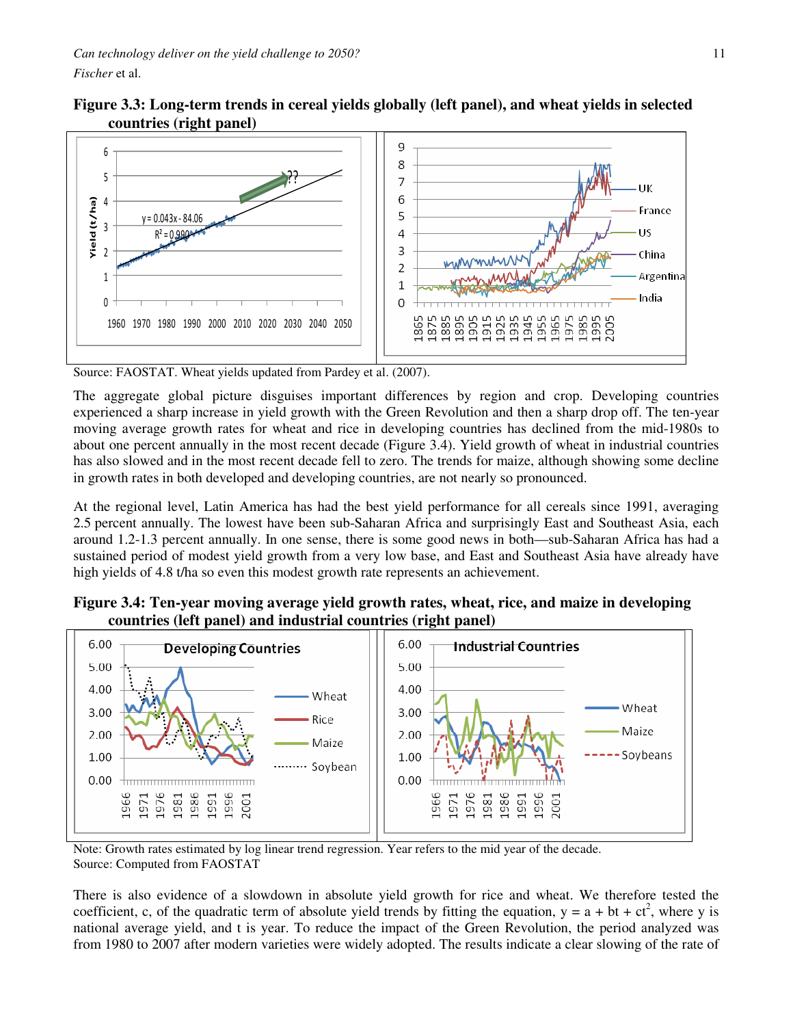$= 0.043x - 84.06$  $R^2 = 0.990$ 

Yield (t/ha)

Vield (t/ha)



6

5  $\overline{A}$ 

3

 $\overline{2}$ 

 $\mathbf{1}$ 

 $\Omega$ 

885 895 ğ

 $\tilde{S}$  $\frac{5}{9}$  $\frac{5}{9}$ 55<br>0

 $\frac{1}{5}$ 

**Figure 3.3: Long-term trends in cereal yields globally (left panel), and wheat yields in selected** 

Source: FAOSTAT. Wheat yields updated from Pardey et al. (2007).

1960 1970 1980 1990 2000 2010 2020 2030 2040 2050

The aggregate global picture disguises important differences by region and crop. Developing countries experienced a sharp increase in yield growth with the Green Revolution and then a sharp drop off. The ten-year moving average growth rates for wheat and rice in developing countries has declined from the mid-1980s to about one percent annually in the most recent decade (Figure 3.4). Yield growth of wheat in industrial countries has also slowed and in the most recent decade fell to zero. The trends for maize, although showing some decline in growth rates in both developed and developing countries, are not nearly so pronounced.

At the regional level, Latin America has had the best yield performance for all cereals since 1991, averaging 2.5 percent annually. The lowest have been sub-Saharan Africa and surprisingly East and Southeast Asia, each around 1.2-1.3 percent annually. In one sense, there is some good news in both—sub-Saharan Africa has had a sustained period of modest yield growth from a very low base, and East and Southeast Asia have already have high yields of 4.8 t/ha so even this modest growth rate represents an achievement.





Note: Growth rates estimated by log linear trend regression. Year refers to the mid year of the decade. Source: Computed from FAOSTAT

There is also evidence of a slowdown in absolute yield growth for rice and wheat. We therefore tested the coefficient, c, of the quadratic term of absolute yield trends by fitting the equation,  $y = a + bt + ct^2$ , where y is national average yield, and t is year. To reduce the impact of the Green Revolution, the period analyzed was from 1980 to 2007 after modern varieties were widely adopted. The results indicate a clear slowing of the rate of

France

China

**India** 

965

975

ōö<br>O

Argentina

ŪŚ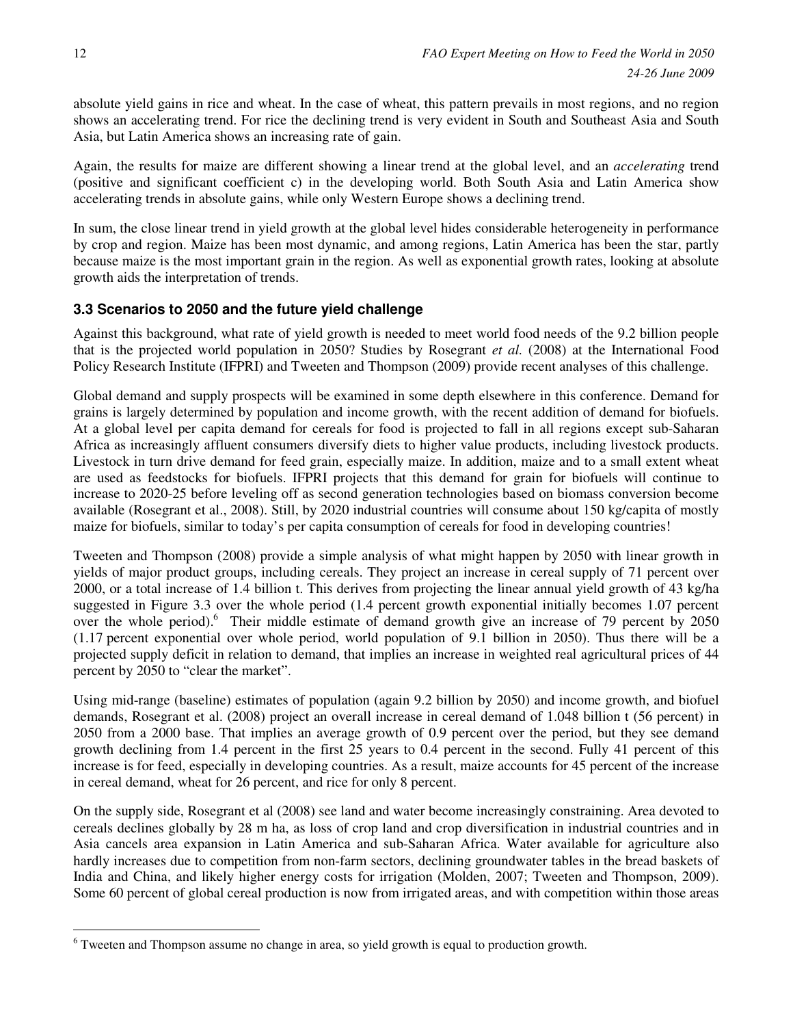absolute yield gains in rice and wheat. In the case of wheat, this pattern prevails in most regions, and no region shows an accelerating trend. For rice the declining trend is very evident in South and Southeast Asia and South Asia, but Latin America shows an increasing rate of gain.

Again, the results for maize are different showing a linear trend at the global level, and an *accelerating* trend (positive and significant coefficient c) in the developing world. Both South Asia and Latin America show accelerating trends in absolute gains, while only Western Europe shows a declining trend.

In sum, the close linear trend in yield growth at the global level hides considerable heterogeneity in performance by crop and region. Maize has been most dynamic, and among regions, Latin America has been the star, partly because maize is the most important grain in the region. As well as exponential growth rates, looking at absolute growth aids the interpretation of trends.

### **3.3 Scenarios to 2050 and the future yield challenge**

Against this background, what rate of yield growth is needed to meet world food needs of the 9.2 billion people that is the projected world population in 2050? Studies by Rosegrant *et al.* (2008) at the International Food Policy Research Institute (IFPRI) and Tweeten and Thompson (2009) provide recent analyses of this challenge.

Global demand and supply prospects will be examined in some depth elsewhere in this conference. Demand for grains is largely determined by population and income growth, with the recent addition of demand for biofuels. At a global level per capita demand for cereals for food is projected to fall in all regions except sub-Saharan Africa as increasingly affluent consumers diversify diets to higher value products, including livestock products. Livestock in turn drive demand for feed grain, especially maize. In addition, maize and to a small extent wheat are used as feedstocks for biofuels. IFPRI projects that this demand for grain for biofuels will continue to increase to 2020-25 before leveling off as second generation technologies based on biomass conversion become available (Rosegrant et al., 2008). Still, by 2020 industrial countries will consume about 150 kg/capita of mostly maize for biofuels, similar to today's per capita consumption of cereals for food in developing countries!

Tweeten and Thompson (2008) provide a simple analysis of what might happen by 2050 with linear growth in yields of major product groups, including cereals. They project an increase in cereal supply of 71 percent over 2000, or a total increase of 1.4 billion t. This derives from projecting the linear annual yield growth of 43 kg/ha suggested in Figure 3.3 over the whole period (1.4 percent growth exponential initially becomes 1.07 percent over the whole period).<sup>6</sup> Their middle estimate of demand growth give an increase of 79 percent by 2050 (1.17 percent exponential over whole period, world population of 9.1 billion in 2050). Thus there will be a projected supply deficit in relation to demand, that implies an increase in weighted real agricultural prices of 44 percent by 2050 to "clear the market".

Using mid-range (baseline) estimates of population (again 9.2 billion by 2050) and income growth, and biofuel demands, Rosegrant et al. (2008) project an overall increase in cereal demand of 1.048 billion t (56 percent) in 2050 from a 2000 base. That implies an average growth of 0.9 percent over the period, but they see demand growth declining from 1.4 percent in the first 25 years to 0.4 percent in the second. Fully 41 percent of this increase is for feed, especially in developing countries. As a result, maize accounts for 45 percent of the increase in cereal demand, wheat for 26 percent, and rice for only 8 percent.

On the supply side, Rosegrant et al (2008) see land and water become increasingly constraining. Area devoted to cereals declines globally by 28 m ha, as loss of crop land and crop diversification in industrial countries and in Asia cancels area expansion in Latin America and sub-Saharan Africa. Water available for agriculture also hardly increases due to competition from non-farm sectors, declining groundwater tables in the bread baskets of India and China, and likely higher energy costs for irrigation (Molden, 2007; Tweeten and Thompson, 2009). Some 60 percent of global cereal production is now from irrigated areas, and with competition within those areas

 $\overline{a}$ 

<sup>&</sup>lt;sup>6</sup> Tweeten and Thompson assume no change in area, so yield growth is equal to production growth.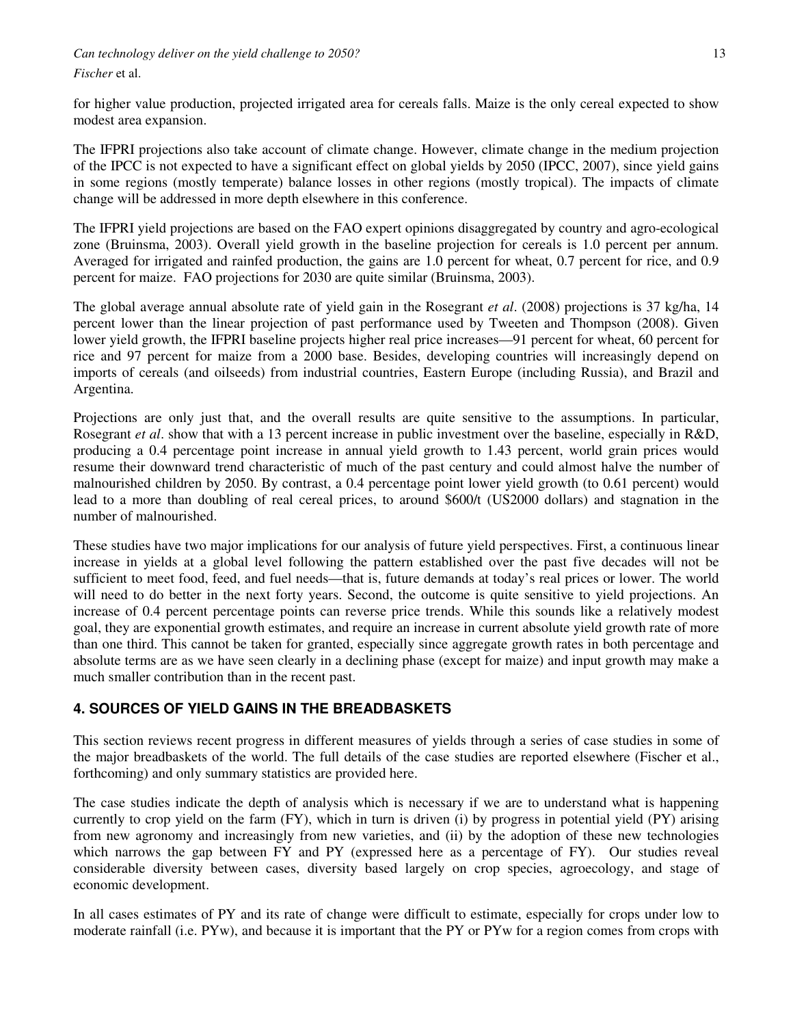*Can technology deliver on the yield challenge to 2050?* 13

#### *Fischer* et al.

for higher value production, projected irrigated area for cereals falls. Maize is the only cereal expected to show modest area expansion.

The IFPRI projections also take account of climate change. However, climate change in the medium projection of the IPCC is not expected to have a significant effect on global yields by 2050 (IPCC, 2007), since yield gains in some regions (mostly temperate) balance losses in other regions (mostly tropical). The impacts of climate change will be addressed in more depth elsewhere in this conference.

The IFPRI yield projections are based on the FAO expert opinions disaggregated by country and agro-ecological zone (Bruinsma, 2003). Overall yield growth in the baseline projection for cereals is 1.0 percent per annum. Averaged for irrigated and rainfed production, the gains are 1.0 percent for wheat, 0.7 percent for rice, and 0.9 percent for maize. FAO projections for 2030 are quite similar (Bruinsma, 2003).

The global average annual absolute rate of yield gain in the Rosegrant *et al*. (2008) projections is 37 kg/ha, 14 percent lower than the linear projection of past performance used by Tweeten and Thompson (2008). Given lower yield growth, the IFPRI baseline projects higher real price increases—91 percent for wheat, 60 percent for rice and 97 percent for maize from a 2000 base. Besides, developing countries will increasingly depend on imports of cereals (and oilseeds) from industrial countries, Eastern Europe (including Russia), and Brazil and Argentina.

Projections are only just that, and the overall results are quite sensitive to the assumptions. In particular, Rosegrant *et al*. show that with a 13 percent increase in public investment over the baseline, especially in R&D, producing a 0.4 percentage point increase in annual yield growth to 1.43 percent, world grain prices would resume their downward trend characteristic of much of the past century and could almost halve the number of malnourished children by 2050. By contrast, a 0.4 percentage point lower yield growth (to 0.61 percent) would lead to a more than doubling of real cereal prices, to around \$600/t (US2000 dollars) and stagnation in the number of malnourished.

These studies have two major implications for our analysis of future yield perspectives. First, a continuous linear increase in yields at a global level following the pattern established over the past five decades will not be sufficient to meet food, feed, and fuel needs—that is, future demands at today's real prices or lower. The world will need to do better in the next forty years. Second, the outcome is quite sensitive to yield projections. An increase of 0.4 percent percentage points can reverse price trends. While this sounds like a relatively modest goal, they are exponential growth estimates, and require an increase in current absolute yield growth rate of more than one third. This cannot be taken for granted, especially since aggregate growth rates in both percentage and absolute terms are as we have seen clearly in a declining phase (except for maize) and input growth may make a much smaller contribution than in the recent past.

### **4. SOURCES OF YIELD GAINS IN THE BREADBASKETS**

This section reviews recent progress in different measures of yields through a series of case studies in some of the major breadbaskets of the world. The full details of the case studies are reported elsewhere (Fischer et al., forthcoming) and only summary statistics are provided here.

The case studies indicate the depth of analysis which is necessary if we are to understand what is happening currently to crop yield on the farm (FY), which in turn is driven (i) by progress in potential yield (PY) arising from new agronomy and increasingly from new varieties, and (ii) by the adoption of these new technologies which narrows the gap between FY and PY (expressed here as a percentage of FY). Our studies reveal considerable diversity between cases, diversity based largely on crop species, agroecology, and stage of economic development.

In all cases estimates of PY and its rate of change were difficult to estimate, especially for crops under low to moderate rainfall (i.e. PYw), and because it is important that the PY or PYw for a region comes from crops with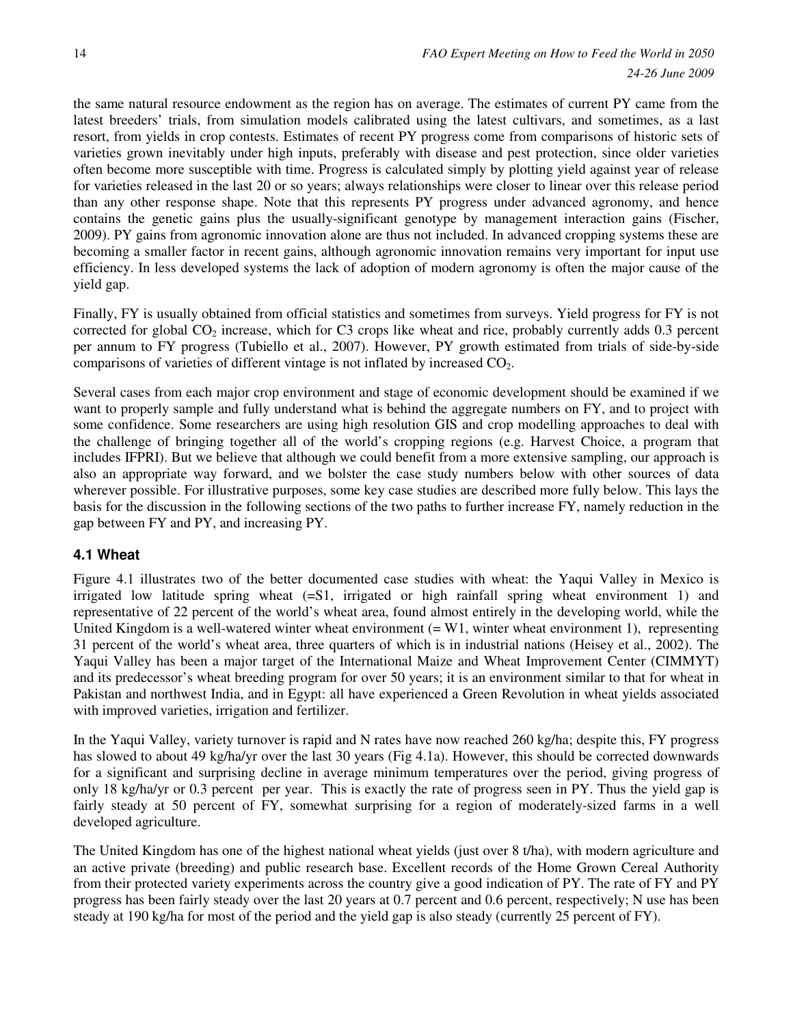the same natural resource endowment as the region has on average. The estimates of current PY came from the latest breeders' trials, from simulation models calibrated using the latest cultivars, and sometimes, as a last resort, from yields in crop contests. Estimates of recent PY progress come from comparisons of historic sets of varieties grown inevitably under high inputs, preferably with disease and pest protection, since older varieties often become more susceptible with time. Progress is calculated simply by plotting yield against year of release for varieties released in the last 20 or so years; always relationships were closer to linear over this release period than any other response shape. Note that this represents PY progress under advanced agronomy, and hence contains the genetic gains plus the usually-significant genotype by management interaction gains (Fischer, 2009). PY gains from agronomic innovation alone are thus not included. In advanced cropping systems these are becoming a smaller factor in recent gains, although agronomic innovation remains very important for input use efficiency. In less developed systems the lack of adoption of modern agronomy is often the major cause of the yield gap.

Finally, FY is usually obtained from official statistics and sometimes from surveys. Yield progress for FY is not corrected for global  $CO_2$  increase, which for C3 crops like wheat and rice, probably currently adds 0.3 percent per annum to FY progress (Tubiello et al., 2007). However, PY growth estimated from trials of side-by-side comparisons of varieties of different vintage is not inflated by increased  $CO<sub>2</sub>$ .

Several cases from each major crop environment and stage of economic development should be examined if we want to properly sample and fully understand what is behind the aggregate numbers on FY, and to project with some confidence. Some researchers are using high resolution GIS and crop modelling approaches to deal with the challenge of bringing together all of the world's cropping regions (e.g. Harvest Choice, a program that includes IFPRI). But we believe that although we could benefit from a more extensive sampling, our approach is also an appropriate way forward, and we bolster the case study numbers below with other sources of data wherever possible. For illustrative purposes, some key case studies are described more fully below. This lays the basis for the discussion in the following sections of the two paths to further increase FY, namely reduction in the gap between FY and PY, and increasing PY.

### **4.1 Wheat**

Figure 4.1 illustrates two of the better documented case studies with wheat: the Yaqui Valley in Mexico is irrigated low latitude spring wheat (=S1, irrigated or high rainfall spring wheat environment 1) and representative of 22 percent of the world's wheat area, found almost entirely in the developing world, while the United Kingdom is a well-watered winter wheat environment  $(= W1)$ , winter wheat environment 1), representing 31 percent of the world's wheat area, three quarters of which is in industrial nations (Heisey et al., 2002). The Yaqui Valley has been a major target of the International Maize and Wheat Improvement Center (CIMMYT) and its predecessor's wheat breeding program for over 50 years; it is an environment similar to that for wheat in Pakistan and northwest India, and in Egypt: all have experienced a Green Revolution in wheat yields associated with improved varieties, irrigation and fertilizer.

In the Yaqui Valley, variety turnover is rapid and N rates have now reached 260 kg/ha; despite this, FY progress has slowed to about 49 kg/ha/yr over the last 30 years (Fig 4.1a). However, this should be corrected downwards for a significant and surprising decline in average minimum temperatures over the period, giving progress of only 18 kg/ha/yr or 0.3 percent per year. This is exactly the rate of progress seen in PY. Thus the yield gap is fairly steady at 50 percent of FY, somewhat surprising for a region of moderately-sized farms in a well developed agriculture.

The United Kingdom has one of the highest national wheat yields (just over 8 t/ha), with modern agriculture and an active private (breeding) and public research base. Excellent records of the Home Grown Cereal Authority from their protected variety experiments across the country give a good indication of PY. The rate of FY and PY progress has been fairly steady over the last 20 years at 0.7 percent and 0.6 percent, respectively; N use has been steady at 190 kg/ha for most of the period and the yield gap is also steady (currently 25 percent of FY).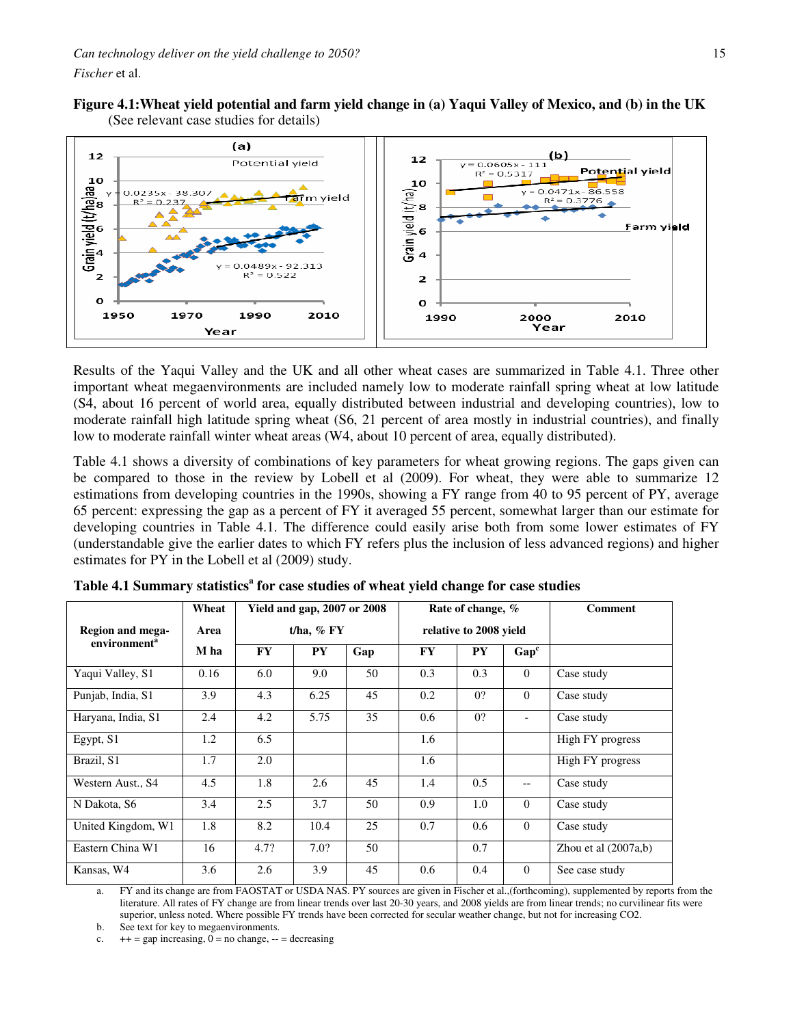*Fischer* et al.





Results of the Yaqui Valley and the UK and all other wheat cases are summarized in Table 4.1. Three other important wheat megaenvironments are included namely low to moderate rainfall spring wheat at low latitude (S4, about 16 percent of world area, equally distributed between industrial and developing countries), low to moderate rainfall high latitude spring wheat (S6, 21 percent of area mostly in industrial countries), and finally low to moderate rainfall winter wheat areas (W4, about 10 percent of area, equally distributed).

Table 4.1 shows a diversity of combinations of key parameters for wheat growing regions. The gaps given can be compared to those in the review by Lobell et al (2009). For wheat, they were able to summarize 12 estimations from developing countries in the 1990s, showing a FY range from 40 to 95 percent of PY, average 65 percent: expressing the gap as a percent of FY it averaged 55 percent, somewhat larger than our estimate for developing countries in Table 4.1. The difference could easily arise both from some lower estimates of FY (understandable give the earlier dates to which FY refers plus the inclusion of less advanced regions) and higher estimates for PY in the Lobell et al (2009) study.

|                          | Wheat |           | <b>Yield and gap, 2007 or 2008</b> |     |           | Rate of change, %      |                  | Comment                |
|--------------------------|-------|-----------|------------------------------------|-----|-----------|------------------------|------------------|------------------------|
| Region and mega-         | Area  |           | t/ha, $%$ FY                       |     |           | relative to 2008 yield |                  |                        |
| environment <sup>a</sup> | M ha  | <b>FY</b> | <b>PY</b>                          | Gap | <b>FY</b> | ${\bf P}{\bf Y}$       | Gap <sup>c</sup> |                        |
| Yaqui Valley, S1         | 0.16  | 6.0       | 9.0                                | 50  | 0.3       | 0.3                    | $\Omega$         | Case study             |
| Punjab, India, S1        | 3.9   | 4.3       | 6.25                               | 45  | 0.2       | 0?                     | $\Omega$         | Case study             |
| Haryana, India, S1       | 2.4   | 4.2       | 5.75                               | 35  | 0.6       | 0?                     |                  | Case study             |
| Egypt, S1                | 1.2   | 6.5       |                                    |     | 1.6       |                        |                  | High FY progress       |
| Brazil, S1               | 1.7   | 2.0       |                                    |     | 1.6       |                        |                  | High FY progress       |
| Western Aust., S4        | 4.5   | 1.8       | 2.6                                | 45  | 1.4       | 0.5                    | $-$              | Case study             |
| N Dakota, S6             | 3.4   | 2.5       | 3.7                                | 50  | 0.9       | 1.0                    | $\Omega$         | Case study             |
| United Kingdom, W1       | 1.8   | 8.2       | 10.4                               | 25  | 0.7       | 0.6                    | $\Omega$         | Case study             |
| Eastern China W1         | 16    | 4.7?      | 7.0?                               | 50  |           | 0.7                    |                  | Zhou et al $(2007a,b)$ |
| Kansas, W4               | 3.6   | 2.6       | 3.9                                | 45  | 0.6       | 0.4                    | $\Omega$         | See case study         |

**Table 4.1 Summary statistics<sup>a</sup> for case studies of wheat yield change for case studies**

a. FY and its change are from FAOSTAT or USDA NAS. PY sources are given in Fischer et al.,(forthcoming), supplemented by reports from the literature. All rates of FY change are from linear trends over last 20-30 years, and 2008 yields are from linear trends; no curvilinear fits were superior, unless noted. Where possible FY trends have been corrected for secular weather change, but not for increasing CO2.

b. See text for key to megaenvironments.

c.  $++ = gap increasing, 0 = no change, -- = decreasing$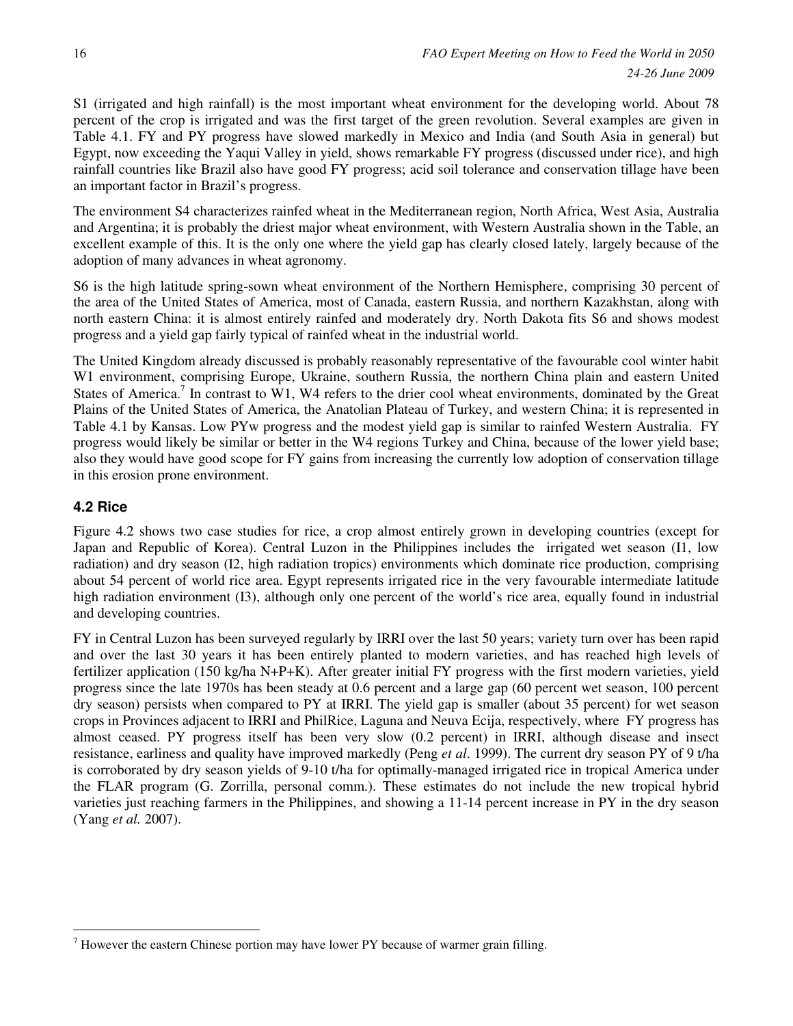S1 (irrigated and high rainfall) is the most important wheat environment for the developing world. About 78 percent of the crop is irrigated and was the first target of the green revolution. Several examples are given in Table 4.1. FY and PY progress have slowed markedly in Mexico and India (and South Asia in general) but Egypt, now exceeding the Yaqui Valley in yield, shows remarkable FY progress (discussed under rice), and high rainfall countries like Brazil also have good FY progress; acid soil tolerance and conservation tillage have been an important factor in Brazil's progress.

The environment S4 characterizes rainfed wheat in the Mediterranean region, North Africa, West Asia, Australia and Argentina; it is probably the driest major wheat environment, with Western Australia shown in the Table, an excellent example of this. It is the only one where the yield gap has clearly closed lately, largely because of the adoption of many advances in wheat agronomy.

S6 is the high latitude spring-sown wheat environment of the Northern Hemisphere, comprising 30 percent of the area of the United States of America, most of Canada, eastern Russia, and northern Kazakhstan, along with north eastern China: it is almost entirely rainfed and moderately dry. North Dakota fits S6 and shows modest progress and a yield gap fairly typical of rainfed wheat in the industrial world.

The United Kingdom already discussed is probably reasonably representative of the favourable cool winter habit W1 environment, comprising Europe, Ukraine, southern Russia, the northern China plain and eastern United States of America.<sup>7</sup> In contrast to W1, W4 refers to the drier cool wheat environments, dominated by the Great Plains of the United States of America, the Anatolian Plateau of Turkey, and western China; it is represented in Table 4.1 by Kansas. Low PYw progress and the modest yield gap is similar to rainfed Western Australia. FY progress would likely be similar or better in the W4 regions Turkey and China, because of the lower yield base; also they would have good scope for FY gains from increasing the currently low adoption of conservation tillage in this erosion prone environment.

### **4.2 Rice**

Figure 4.2 shows two case studies for rice, a crop almost entirely grown in developing countries (except for Japan and Republic of Korea). Central Luzon in the Philippines includes the irrigated wet season (I1, low radiation) and dry season (I2, high radiation tropics) environments which dominate rice production, comprising about 54 percent of world rice area. Egypt represents irrigated rice in the very favourable intermediate latitude high radiation environment (I3), although only one percent of the world's rice area, equally found in industrial and developing countries.

FY in Central Luzon has been surveyed regularly by IRRI over the last 50 years; variety turn over has been rapid and over the last 30 years it has been entirely planted to modern varieties, and has reached high levels of fertilizer application (150 kg/ha N+P+K). After greater initial FY progress with the first modern varieties, yield progress since the late 1970s has been steady at 0.6 percent and a large gap (60 percent wet season, 100 percent dry season) persists when compared to PY at IRRI. The yield gap is smaller (about 35 percent) for wet season crops in Provinces adjacent to IRRI and PhilRice, Laguna and Neuva Ecija, respectively, where FY progress has almost ceased. PY progress itself has been very slow (0.2 percent) in IRRI, although disease and insect resistance, earliness and quality have improved markedly (Peng *et al*. 1999). The current dry season PY of 9 t/ha is corroborated by dry season yields of 9-10 t/ha for optimally-managed irrigated rice in tropical America under the FLAR program (G. Zorrilla, personal comm.). These estimates do not include the new tropical hybrid varieties just reaching farmers in the Philippines, and showing a 11-14 percent increase in PY in the dry season (Yang *et al.* 2007).

 $\overline{a}$  $<sup>7</sup>$  However the eastern Chinese portion may have lower PY because of warmer grain filling.</sup>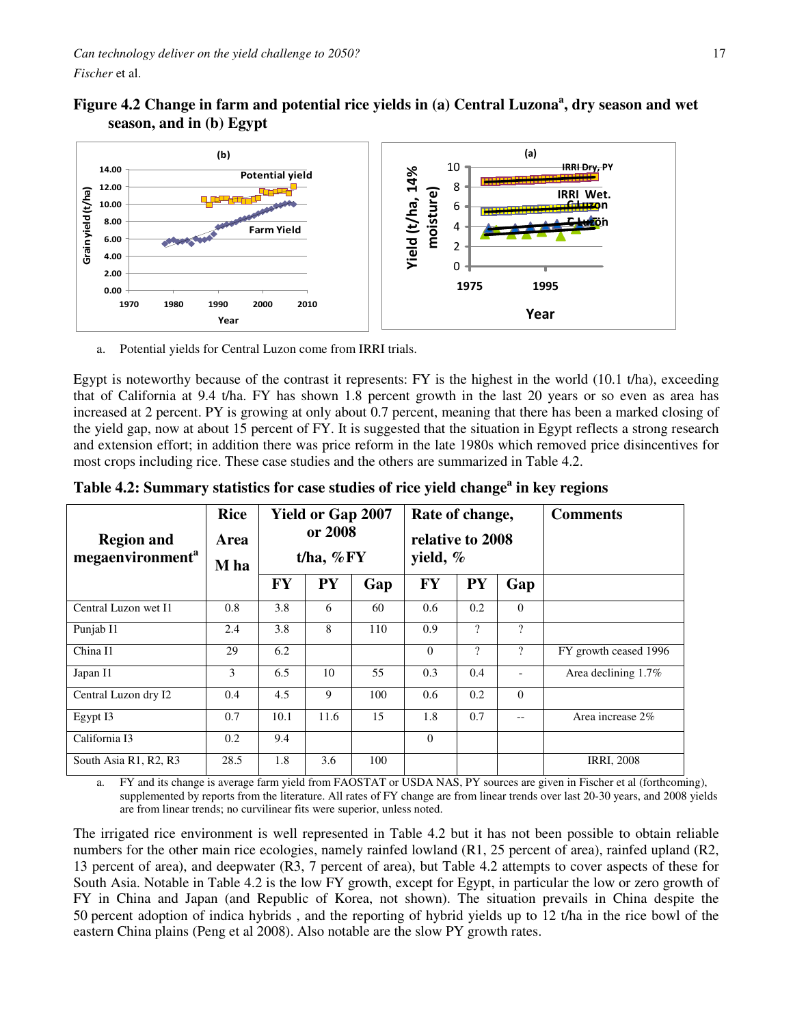Figure 4.2 Change in farm and potential rice yields in (a) Central Luzona<sup>a</sup>, dry season and wet **season, and in (b) Egypt**



a. Potential yields for Central Luzon come from IRRI trials.

Egypt is noteworthy because of the contrast it represents: FY is the highest in the world (10.1 t/ha), exceeding that of California at 9.4 t/ha. FY has shown 1.8 percent growth in the last 20 years or so even as area has increased at 2 percent. PY is growing at only about 0.7 percent, meaning that there has been a marked closing of the yield gap, now at about 15 percent of FY. It is suggested that the situation in Egypt reflects a strong research and extension effort; in addition there was price reform in the late 1980s which removed price disincentives for most crops including rice. These case studies and the others are summarized in Table 4.2.

| <b>Region and</b><br>megaenvironment <sup>a</sup> | <b>Rice</b><br>Area<br>M ha | <b>Yield or Gap 2007</b><br>Rate of change,<br>or 2008<br>relative to 2008<br>t/ha, $\%$ FY<br>yield, $\%$ |           |     |           |                          |                          | <b>Comments</b>       |
|---------------------------------------------------|-----------------------------|------------------------------------------------------------------------------------------------------------|-----------|-----|-----------|--------------------------|--------------------------|-----------------------|
|                                                   |                             | <b>FY</b>                                                                                                  | <b>PY</b> | Gap | <b>FY</b> | <b>PY</b>                | Gap                      |                       |
| Central Luzon wet I1                              | 0.8                         | 3.8                                                                                                        | 6         | 60  | 0.6       | 0.2                      | $\mathbf{0}$             |                       |
| Punjab I1                                         | 2.4                         | 3.8                                                                                                        | 8         | 110 | 0.9       | $\overline{\mathcal{L}}$ | $\overline{?}$           |                       |
| China I1                                          | 29                          | 6.2                                                                                                        |           |     | $\theta$  | $\overline{\cdot}$       | $\overline{?}$           | FY growth ceased 1996 |
| Japan I1                                          | 3                           | 6.5                                                                                                        | 10        | 55  | 0.3       | 0.4                      | $\overline{\phantom{0}}$ | Area declining 1.7%   |
| Central Luzon dry I2                              | 0.4                         | 4.5                                                                                                        | 9         | 100 | 0.6       | 0.2                      | $\mathbf{0}$             |                       |
| Egypt I3                                          | 0.7                         | 10.1                                                                                                       | 11.6      | 15  | 1.8       | 0.7                      | $- -$                    | Area increase 2%      |
| California I3                                     | 0.2                         | 9.4                                                                                                        |           |     | $\theta$  |                          |                          |                       |
| South Asia R1, R2, R3                             | 28.5                        | 1.8                                                                                                        | 3.6       | 100 |           |                          |                          | <b>IRRI, 2008</b>     |

**Table 4.2: Summary statistics for case studies of rice yield change<sup>a</sup> in key regions** 

a. FY and its change is average farm yield from FAOSTAT or USDA NAS, PY sources are given in Fischer et al (forthcoming), supplemented by reports from the literature. All rates of FY change are from linear trends over last 20-30 years, and 2008 yields are from linear trends; no curvilinear fits were superior, unless noted.

The irrigated rice environment is well represented in Table 4.2 but it has not been possible to obtain reliable numbers for the other main rice ecologies, namely rainfed lowland (R1, 25 percent of area), rainfed upland (R2, 13 percent of area), and deepwater (R3, 7 percent of area), but Table 4.2 attempts to cover aspects of these for South Asia. Notable in Table 4.2 is the low FY growth, except for Egypt, in particular the low or zero growth of FY in China and Japan (and Republic of Korea, not shown). The situation prevails in China despite the 50 percent adoption of indica hybrids , and the reporting of hybrid yields up to 12 t/ha in the rice bowl of the eastern China plains (Peng et al 2008). Also notable are the slow PY growth rates.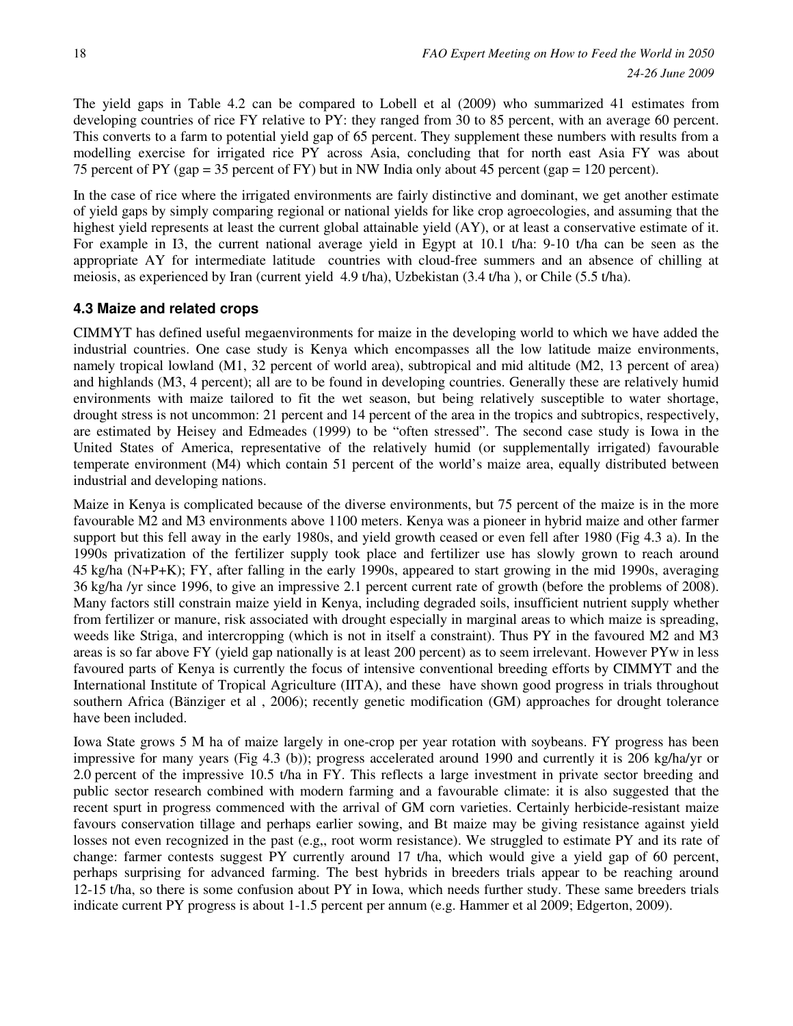The yield gaps in Table 4.2 can be compared to Lobell et al (2009) who summarized 41 estimates from developing countries of rice FY relative to PY: they ranged from 30 to 85 percent, with an average 60 percent. This converts to a farm to potential yield gap of 65 percent. They supplement these numbers with results from a modelling exercise for irrigated rice PY across Asia, concluding that for north east Asia FY was about 75 percent of PY (gap = 35 percent of FY) but in NW India only about 45 percent (gap = 120 percent).

In the case of rice where the irrigated environments are fairly distinctive and dominant, we get another estimate of yield gaps by simply comparing regional or national yields for like crop agroecologies, and assuming that the highest yield represents at least the current global attainable yield (AY), or at least a conservative estimate of it. For example in I3, the current national average yield in Egypt at 10.1 t/ha: 9-10 t/ha can be seen as the appropriate AY for intermediate latitude countries with cloud-free summers and an absence of chilling at meiosis, as experienced by Iran (current yield 4.9 t/ha), Uzbekistan (3.4 t/ha ), or Chile (5.5 t/ha).

### **4.3 Maize and related crops**

CIMMYT has defined useful megaenvironments for maize in the developing world to which we have added the industrial countries. One case study is Kenya which encompasses all the low latitude maize environments, namely tropical lowland (M1, 32 percent of world area), subtropical and mid altitude (M2, 13 percent of area) and highlands (M3, 4 percent); all are to be found in developing countries. Generally these are relatively humid environments with maize tailored to fit the wet season, but being relatively susceptible to water shortage, drought stress is not uncommon: 21 percent and 14 percent of the area in the tropics and subtropics, respectively, are estimated by Heisey and Edmeades (1999) to be "often stressed". The second case study is Iowa in the United States of America, representative of the relatively humid (or supplementally irrigated) favourable temperate environment (M4) which contain 51 percent of the world's maize area, equally distributed between industrial and developing nations.

Maize in Kenya is complicated because of the diverse environments, but 75 percent of the maize is in the more favourable M2 and M3 environments above 1100 meters. Kenya was a pioneer in hybrid maize and other farmer support but this fell away in the early 1980s, and yield growth ceased or even fell after 1980 (Fig 4.3 a). In the 1990s privatization of the fertilizer supply took place and fertilizer use has slowly grown to reach around 45 kg/ha (N+P+K); FY, after falling in the early 1990s, appeared to start growing in the mid 1990s, averaging 36 kg/ha /yr since 1996, to give an impressive 2.1 percent current rate of growth (before the problems of 2008). Many factors still constrain maize yield in Kenya, including degraded soils, insufficient nutrient supply whether from fertilizer or manure, risk associated with drought especially in marginal areas to which maize is spreading, weeds like Striga, and intercropping (which is not in itself a constraint). Thus PY in the favoured M2 and M3 areas is so far above FY (yield gap nationally is at least 200 percent) as to seem irrelevant. However PYw in less favoured parts of Kenya is currently the focus of intensive conventional breeding efforts by CIMMYT and the International Institute of Tropical Agriculture (IITA), and these have shown good progress in trials throughout southern Africa (Bänziger et al , 2006); recently genetic modification (GM) approaches for drought tolerance have been included.

Iowa State grows 5 M ha of maize largely in one-crop per year rotation with soybeans. FY progress has been impressive for many years (Fig 4.3 (b)); progress accelerated around 1990 and currently it is 206 kg/ha/yr or 2.0 percent of the impressive 10.5 t/ha in FY. This reflects a large investment in private sector breeding and public sector research combined with modern farming and a favourable climate: it is also suggested that the recent spurt in progress commenced with the arrival of GM corn varieties. Certainly herbicide-resistant maize favours conservation tillage and perhaps earlier sowing, and Bt maize may be giving resistance against yield losses not even recognized in the past (e.g,, root worm resistance). We struggled to estimate PY and its rate of change: farmer contests suggest PY currently around 17 t/ha, which would give a yield gap of 60 percent, perhaps surprising for advanced farming. The best hybrids in breeders trials appear to be reaching around 12-15 t/ha, so there is some confusion about PY in Iowa, which needs further study. These same breeders trials indicate current PY progress is about 1-1.5 percent per annum (e.g. Hammer et al 2009; Edgerton, 2009).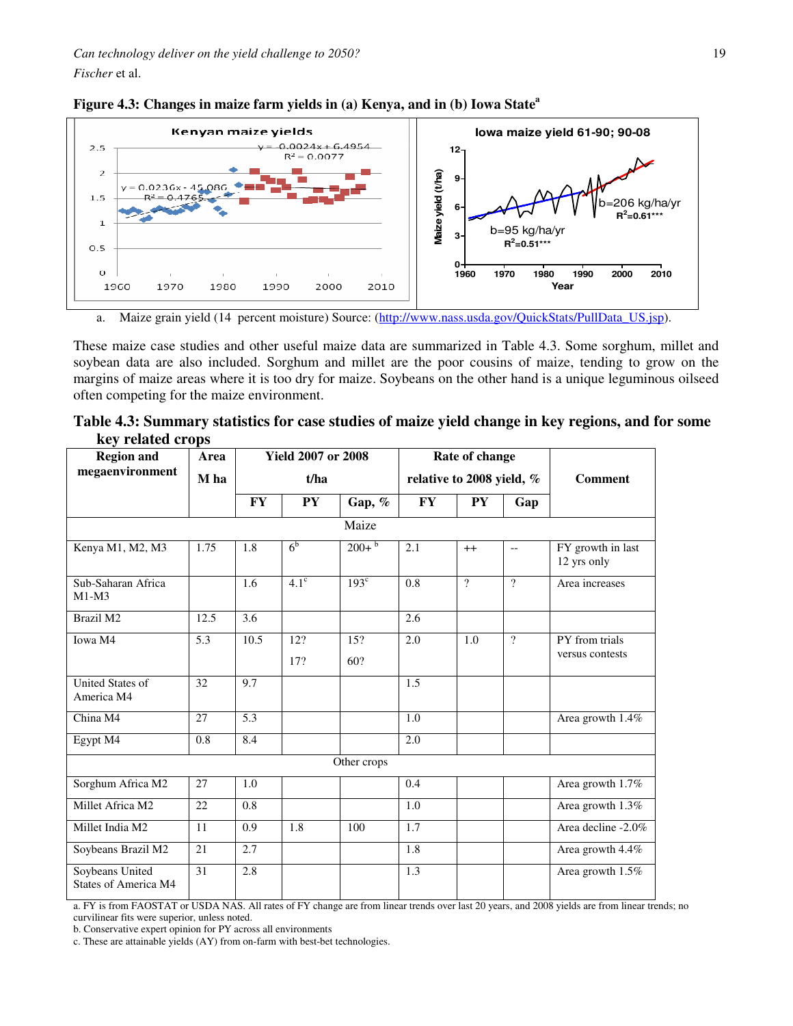



a. Maize grain yield (14 percent moisture) Source: (http://www.nass.usda.gov/QuickStats/PullData\_US.jsp).

These maize case studies and other useful maize data are summarized in Table 4.3. Some sorghum, millet and soybean data are also included. Sorghum and millet are the poor cousins of maize, tending to grow on the margins of maize areas where it is too dry for maize. Soybeans on the other hand is a unique leguminous oilseed often competing for the maize environment.

| Table 4.3: Summary statistics for case studies of maize yield change in key regions, and for some |  |  |  |
|---------------------------------------------------------------------------------------------------|--|--|--|
| key related crops                                                                                 |  |  |  |

| <b>Region and</b>                       | Area  |           | <b>Yield 2007 or 2008</b>         |                     |                | Rate of change |                |                                   |
|-----------------------------------------|-------|-----------|-----------------------------------|---------------------|----------------|----------------|----------------|-----------------------------------|
| megaenvironment                         | M ha  |           | t/ha<br>relative to 2008 yield, % |                     | <b>Comment</b> |                |                |                                   |
|                                         |       | <b>FY</b> | <b>PY</b>                         | Gap, %              | <b>FY</b>      | <b>PY</b>      | Gap            |                                   |
|                                         | Maize |           |                                   |                     |                |                |                |                                   |
| Kenya M1, M2, M3                        | 1.75  | 1.8       | 6 <sup>b</sup>                    | $200+$ <sup>b</sup> | 2.1            | $++$           | $-$            | FY growth in last<br>12 yrs only  |
| Sub-Saharan Africa<br>$M1-M3$           |       | 1.6       | $4.1^\circ$                       | $193^\circ$         | 0.8            | $\mathcal{P}$  | $\mathcal{P}$  | Area increases                    |
| Brazil M2                               | 12.5  | 3.6       |                                   |                     | 2.6            |                |                |                                   |
| Iowa M4                                 | 5.3   | 10.5      | 12?<br>17?                        | 15?<br>60?          | 2.0            | 1.0            | $\overline{?}$ | PY from trials<br>versus contests |
| <b>United States of</b><br>America M4   | 32    | 9.7       |                                   |                     | 1.5            |                |                |                                   |
| China M4                                | 27    | 5.3       |                                   |                     | 1.0            |                |                | Area growth 1.4%                  |
| Egypt M4                                | 0.8   | 8.4       |                                   |                     | 2.0            |                |                |                                   |
|                                         |       |           |                                   | Other crops         |                |                |                |                                   |
| Sorghum Africa M2                       | 27    | 1.0       |                                   |                     | 0.4            |                |                | Area growth 1.7%                  |
| Millet Africa M2                        | 22    | 0.8       |                                   |                     | 1.0            |                |                | Area growth 1.3%                  |
| Millet India M2                         | 11    | 0.9       | 1.8                               | 100                 | 1.7            |                |                | Area decline -2.0%                |
| Soybeans Brazil M2                      | 21    | 2.7       |                                   |                     | 1.8            |                |                | Area growth 4.4%                  |
| Soybeans United<br>States of America M4 | 31    | 2.8       |                                   |                     | 1.3            |                |                | Area growth 1.5%                  |

a. FY is from FAOSTAT or USDA NAS. All rates of FY change are from linear trends over last 20 years, and 2008 yields are from linear trends; no curvilinear fits were superior, unless noted.

b. Conservative expert opinion for PY across all environments

c. These are attainable yields (AY) from on-farm with best-bet technologies.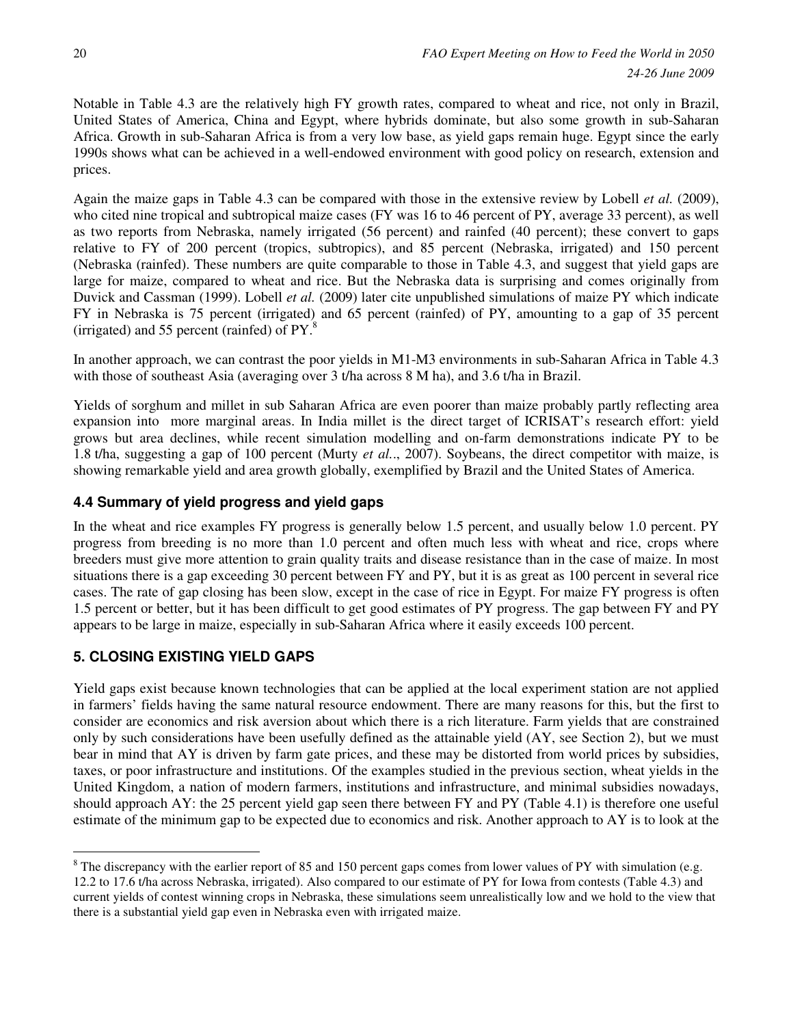Notable in Table 4.3 are the relatively high FY growth rates, compared to wheat and rice, not only in Brazil, United States of America, China and Egypt, where hybrids dominate, but also some growth in sub-Saharan Africa. Growth in sub-Saharan Africa is from a very low base, as yield gaps remain huge. Egypt since the early 1990s shows what can be achieved in a well-endowed environment with good policy on research, extension and prices.

Again the maize gaps in Table 4.3 can be compared with those in the extensive review by Lobell *et al.* (2009), who cited nine tropical and subtropical maize cases (FY was 16 to 46 percent of PY, average 33 percent), as well as two reports from Nebraska, namely irrigated (56 percent) and rainfed (40 percent); these convert to gaps relative to FY of 200 percent (tropics, subtropics), and 85 percent (Nebraska, irrigated) and 150 percent (Nebraska (rainfed). These numbers are quite comparable to those in Table 4.3, and suggest that yield gaps are large for maize, compared to wheat and rice. But the Nebraska data is surprising and comes originally from Duvick and Cassman (1999). Lobell *et al.* (2009) later cite unpublished simulations of maize PY which indicate FY in Nebraska is 75 percent (irrigated) and 65 percent (rainfed) of PY, amounting to a gap of 35 percent (irrigated) and 55 percent (rainfed) of  $PY$ .<sup>8</sup>

In another approach, we can contrast the poor yields in M1-M3 environments in sub-Saharan Africa in Table 4.3 with those of southeast Asia (averaging over 3 t/ha across 8 M ha), and 3.6 t/ha in Brazil.

Yields of sorghum and millet in sub Saharan Africa are even poorer than maize probably partly reflecting area expansion into more marginal areas. In India millet is the direct target of ICRISAT's research effort: yield grows but area declines, while recent simulation modelling and on-farm demonstrations indicate PY to be 1.8 t/ha, suggesting a gap of 100 percent (Murty *et al.*., 2007). Soybeans, the direct competitor with maize, is showing remarkable yield and area growth globally, exemplified by Brazil and the United States of America.

### **4.4 Summary of yield progress and yield gaps**

In the wheat and rice examples FY progress is generally below 1.5 percent, and usually below 1.0 percent. PY progress from breeding is no more than 1.0 percent and often much less with wheat and rice, crops where breeders must give more attention to grain quality traits and disease resistance than in the case of maize. In most situations there is a gap exceeding 30 percent between FY and PY, but it is as great as 100 percent in several rice cases. The rate of gap closing has been slow, except in the case of rice in Egypt. For maize FY progress is often 1.5 percent or better, but it has been difficult to get good estimates of PY progress. The gap between FY and PY appears to be large in maize, especially in sub-Saharan Africa where it easily exceeds 100 percent.

# **5. CLOSING EXISTING YIELD GAPS**

Yield gaps exist because known technologies that can be applied at the local experiment station are not applied in farmers' fields having the same natural resource endowment. There are many reasons for this, but the first to consider are economics and risk aversion about which there is a rich literature. Farm yields that are constrained only by such considerations have been usefully defined as the attainable yield (AY, see Section 2), but we must bear in mind that AY is driven by farm gate prices, and these may be distorted from world prices by subsidies, taxes, or poor infrastructure and institutions. Of the examples studied in the previous section, wheat yields in the United Kingdom, a nation of modern farmers, institutions and infrastructure, and minimal subsidies nowadays, should approach AY: the 25 percent yield gap seen there between FY and PY (Table 4.1) is therefore one useful estimate of the minimum gap to be expected due to economics and risk. Another approach to AY is to look at the

 $\overline{a}$  $8$  The discrepancy with the earlier report of 85 and 150 percent gaps comes from lower values of PY with simulation (e.g. 12.2 to 17.6 t/ha across Nebraska, irrigated). Also compared to our estimate of PY for Iowa from contests (Table 4.3) and current yields of contest winning crops in Nebraska, these simulations seem unrealistically low and we hold to the view that there is a substantial yield gap even in Nebraska even with irrigated maize.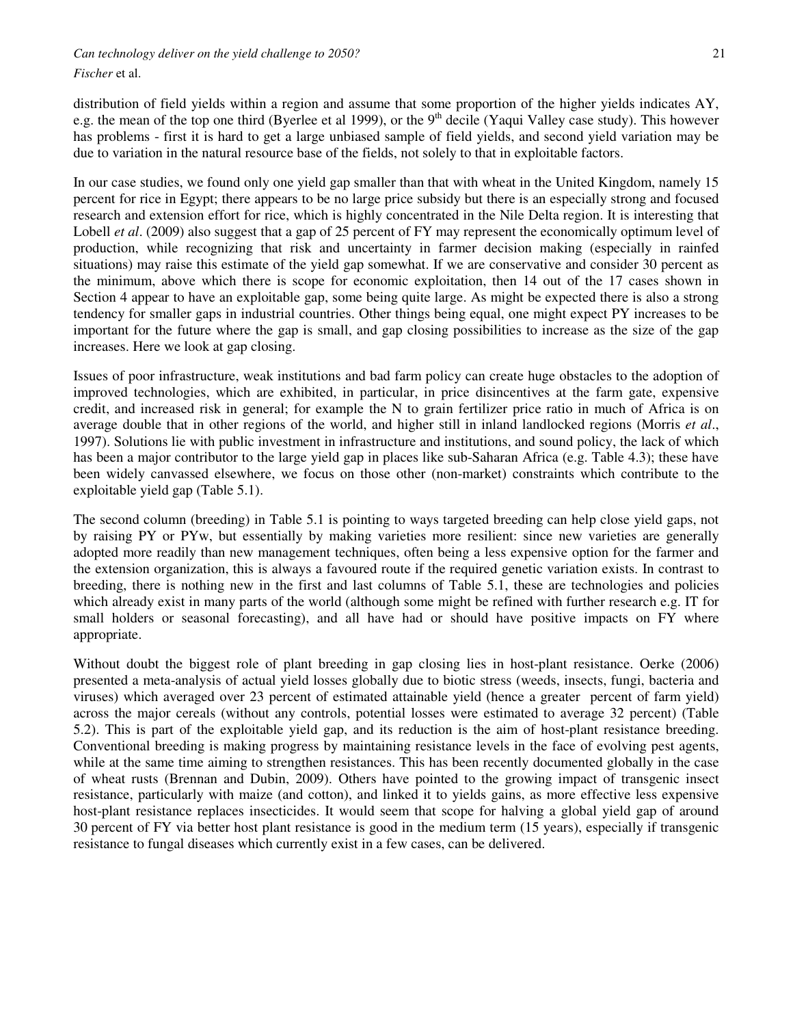*Can technology deliver on the yield challenge to 2050?* 21

*Fischer* et al.

distribution of field yields within a region and assume that some proportion of the higher yields indicates AY, e.g. the mean of the top one third (Byerlee et al 1999), or the 9<sup>th</sup> decile (Yaqui Valley case study). This however has problems - first it is hard to get a large unbiased sample of field yields, and second yield variation may be due to variation in the natural resource base of the fields, not solely to that in exploitable factors.

In our case studies, we found only one yield gap smaller than that with wheat in the United Kingdom, namely 15 percent for rice in Egypt; there appears to be no large price subsidy but there is an especially strong and focused research and extension effort for rice, which is highly concentrated in the Nile Delta region. It is interesting that Lobell *et al.* (2009) also suggest that a gap of 25 percent of FY may represent the economically optimum level of production, while recognizing that risk and uncertainty in farmer decision making (especially in rainfed situations) may raise this estimate of the yield gap somewhat. If we are conservative and consider 30 percent as the minimum, above which there is scope for economic exploitation, then 14 out of the 17 cases shown in Section 4 appear to have an exploitable gap, some being quite large. As might be expected there is also a strong tendency for smaller gaps in industrial countries. Other things being equal, one might expect PY increases to be important for the future where the gap is small, and gap closing possibilities to increase as the size of the gap increases. Here we look at gap closing.

Issues of poor infrastructure, weak institutions and bad farm policy can create huge obstacles to the adoption of improved technologies, which are exhibited, in particular, in price disincentives at the farm gate, expensive credit, and increased risk in general; for example the N to grain fertilizer price ratio in much of Africa is on average double that in other regions of the world, and higher still in inland landlocked regions (Morris *et al*., 1997). Solutions lie with public investment in infrastructure and institutions, and sound policy, the lack of which has been a major contributor to the large yield gap in places like sub-Saharan Africa (e.g. Table 4.3); these have been widely canvassed elsewhere, we focus on those other (non-market) constraints which contribute to the exploitable yield gap (Table 5.1).

The second column (breeding) in Table 5.1 is pointing to ways targeted breeding can help close yield gaps, not by raising PY or PYw, but essentially by making varieties more resilient: since new varieties are generally adopted more readily than new management techniques, often being a less expensive option for the farmer and the extension organization, this is always a favoured route if the required genetic variation exists. In contrast to breeding, there is nothing new in the first and last columns of Table 5.1, these are technologies and policies which already exist in many parts of the world (although some might be refined with further research e.g. IT for small holders or seasonal forecasting), and all have had or should have positive impacts on FY where appropriate.

Without doubt the biggest role of plant breeding in gap closing lies in host-plant resistance. Oerke (2006) presented a meta-analysis of actual yield losses globally due to biotic stress (weeds, insects, fungi, bacteria and viruses) which averaged over 23 percent of estimated attainable yield (hence a greater percent of farm yield) across the major cereals (without any controls, potential losses were estimated to average 32 percent) (Table 5.2). This is part of the exploitable yield gap, and its reduction is the aim of host-plant resistance breeding. Conventional breeding is making progress by maintaining resistance levels in the face of evolving pest agents, while at the same time aiming to strengthen resistances. This has been recently documented globally in the case of wheat rusts (Brennan and Dubin, 2009). Others have pointed to the growing impact of transgenic insect resistance, particularly with maize (and cotton), and linked it to yields gains, as more effective less expensive host-plant resistance replaces insecticides. It would seem that scope for halving a global yield gap of around 30 percent of FY via better host plant resistance is good in the medium term (15 years), especially if transgenic resistance to fungal diseases which currently exist in a few cases, can be delivered.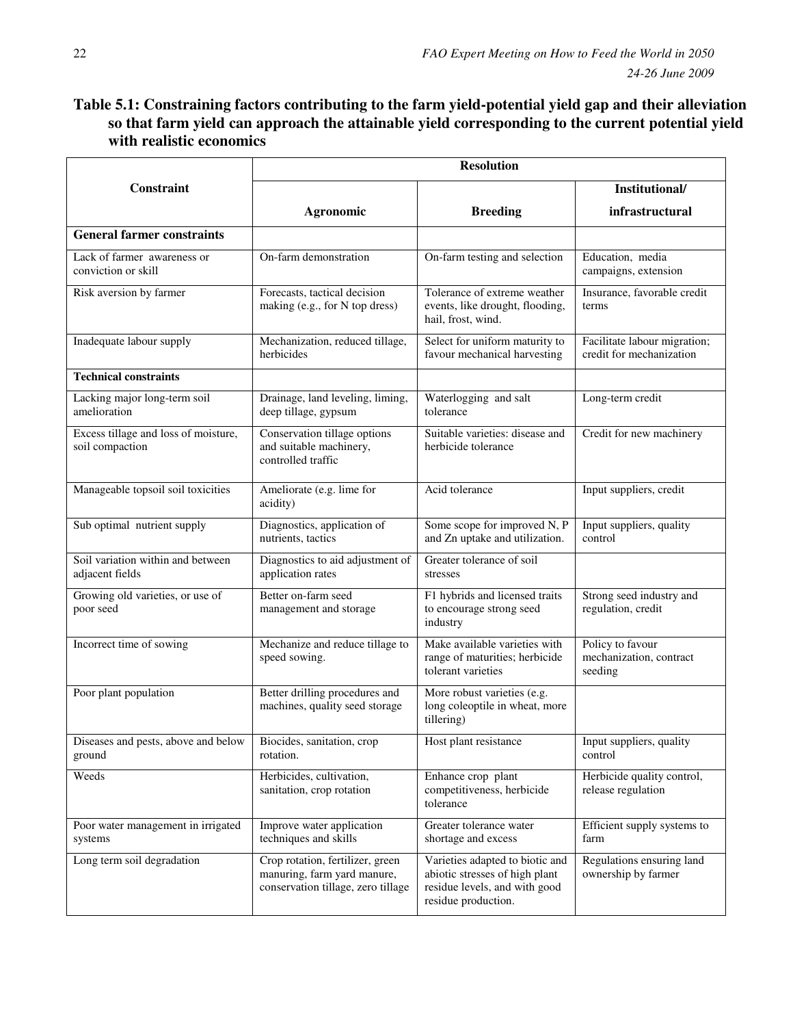# **Table 5.1: Constraining factors contributing to the farm yield-potential yield gap and their alleviation so that farm yield can approach the attainable yield corresponding to the current potential yield with realistic economics**

|                                                         |                                                                                                       | <b>Resolution</b>                                                                                                         |                                                          |
|---------------------------------------------------------|-------------------------------------------------------------------------------------------------------|---------------------------------------------------------------------------------------------------------------------------|----------------------------------------------------------|
| Constraint                                              |                                                                                                       |                                                                                                                           | Institutional/                                           |
|                                                         | Agronomic                                                                                             | <b>Breeding</b>                                                                                                           | infrastructural                                          |
| <b>General farmer constraints</b>                       |                                                                                                       |                                                                                                                           |                                                          |
| Lack of farmer awareness or<br>conviction or skill      | On-farm demonstration                                                                                 | On-farm testing and selection                                                                                             | Education, media<br>campaigns, extension                 |
| Risk aversion by farmer                                 | Forecasts, tactical decision<br>making (e.g., for N top dress)                                        | Tolerance of extreme weather<br>events, like drought, flooding,<br>hail, frost, wind.                                     | Insurance, favorable credit<br>terms                     |
| Inadequate labour supply                                | Mechanization, reduced tillage,<br>herbicides                                                         | Select for uniform maturity to<br>favour mechanical harvesting                                                            | Facilitate labour migration;<br>credit for mechanization |
| <b>Technical constraints</b>                            |                                                                                                       |                                                                                                                           |                                                          |
| Lacking major long-term soil<br>amelioration            | Drainage, land leveling, liming,<br>deep tillage, gypsum                                              | Waterlogging and salt<br>tolerance                                                                                        | Long-term credit                                         |
| Excess tillage and loss of moisture,<br>soil compaction | Conservation tillage options<br>and suitable machinery,<br>controlled traffic                         | Suitable varieties: disease and<br>herbicide tolerance                                                                    | Credit for new machinery                                 |
| Manageable topsoil soil toxicities                      | Ameliorate (e.g. lime for<br>acidity)                                                                 | Acid tolerance                                                                                                            | Input suppliers, credit                                  |
| Sub optimal nutrient supply                             | Diagnostics, application of<br>nutrients, tactics                                                     | Some scope for improved N, P<br>and Zn uptake and utilization.                                                            | Input suppliers, quality<br>control                      |
| Soil variation within and between<br>adjacent fields    | Diagnostics to aid adjustment of<br>application rates                                                 | Greater tolerance of soil<br>stresses                                                                                     |                                                          |
| Growing old varieties, or use of<br>poor seed           | Better on-farm seed<br>management and storage                                                         | F1 hybrids and licensed traits<br>to encourage strong seed<br>industry                                                    | Strong seed industry and<br>regulation, credit           |
| Incorrect time of sowing                                | Mechanize and reduce tillage to<br>speed sowing.                                                      | Make available varieties with<br>range of maturities; herbicide<br>tolerant varieties                                     | Policy to favour<br>mechanization, contract<br>seeding   |
| Poor plant population                                   | Better drilling procedures and<br>machines, quality seed storage                                      | More robust varieties (e.g.<br>long coleoptile in wheat, more<br>tillering)                                               |                                                          |
| Diseases and pests, above and below<br>ground           | Biocides, sanitation, crop<br>rotation.                                                               | Host plant resistance                                                                                                     | Input suppliers, quality<br>control                      |
| Weeds                                                   | Herbicides, cultivation,<br>sanitation, crop rotation                                                 | Enhance crop plant<br>competitiveness, herbicide<br>tolerance                                                             | Herbicide quality control,<br>release regulation         |
| Poor water management in irrigated<br>systems           | Improve water application<br>techniques and skills                                                    | Greater tolerance water<br>shortage and excess                                                                            | Efficient supply systems to<br>farm                      |
| Long term soil degradation                              | Crop rotation, fertilizer, green<br>manuring, farm yard manure,<br>conservation tillage, zero tillage | Varieties adapted to biotic and<br>abiotic stresses of high plant<br>residue levels, and with good<br>residue production. | Regulations ensuring land<br>ownership by farmer         |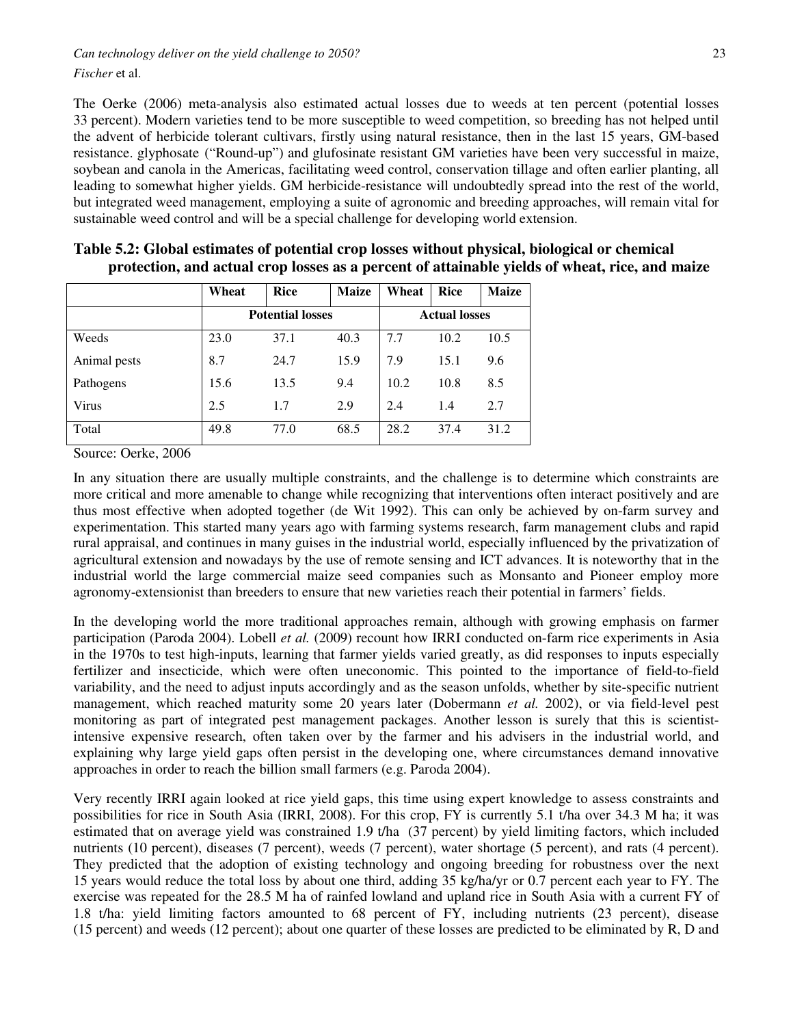*Can technology deliver on the yield challenge to 2050?* 23 *Fischer* et al.

The Oerke (2006) meta-analysis also estimated actual losses due to weeds at ten percent (potential losses 33 percent). Modern varieties tend to be more susceptible to weed competition, so breeding has not helped until the advent of herbicide tolerant cultivars, firstly using natural resistance, then in the last 15 years, GM-based resistance. glyphosate ("Round-up") and glufosinate resistant GM varieties have been very successful in maize, soybean and canola in the Americas, facilitating weed control, conservation tillage and often earlier planting, all leading to somewhat higher yields. GM herbicide-resistance will undoubtedly spread into the rest of the world, but integrated weed management, employing a suite of agronomic and breeding approaches, will remain vital for sustainable weed control and will be a special challenge for developing world extension.

|              | Wheat                   | <b>Rice</b>          | <b>Maize</b> | Wheat | <b>Rice</b> | <b>Maize</b> |
|--------------|-------------------------|----------------------|--------------|-------|-------------|--------------|
|              | <b>Potential losses</b> | <b>Actual losses</b> |              |       |             |              |
| Weeds        | 23.0                    | 37.1                 | 40.3         | 7.7   | 10.2        | 10.5         |
| Animal pests | 8.7                     | 24.7                 | 15.9         | 7.9   | 15.1        | 9.6          |
| Pathogens    | 15.6                    | 13.5                 | 9.4          | 10.2  | 10.8        | 8.5          |
| Virus        | 2.5                     | 1.7                  | 2.9          | 2.4   | 1.4         | 2.7          |
| Total        | 49.8                    | 77.0                 | 68.5         | 28.2  | 37.4        | 31.2         |

**Table 5.2: Global estimates of potential crop losses without physical, biological or chemical protection, and actual crop losses as a percent of attainable yields of wheat, rice, and maize** 

Source: Oerke, 2006

In any situation there are usually multiple constraints, and the challenge is to determine which constraints are more critical and more amenable to change while recognizing that interventions often interact positively and are thus most effective when adopted together (de Wit 1992). This can only be achieved by on-farm survey and experimentation. This started many years ago with farming systems research, farm management clubs and rapid rural appraisal, and continues in many guises in the industrial world, especially influenced by the privatization of agricultural extension and nowadays by the use of remote sensing and ICT advances. It is noteworthy that in the industrial world the large commercial maize seed companies such as Monsanto and Pioneer employ more agronomy-extensionist than breeders to ensure that new varieties reach their potential in farmers' fields.

In the developing world the more traditional approaches remain, although with growing emphasis on farmer participation (Paroda 2004). Lobell *et al.* (2009) recount how IRRI conducted on-farm rice experiments in Asia in the 1970s to test high-inputs, learning that farmer yields varied greatly, as did responses to inputs especially fertilizer and insecticide, which were often uneconomic. This pointed to the importance of field-to-field variability, and the need to adjust inputs accordingly and as the season unfolds, whether by site-specific nutrient management, which reached maturity some 20 years later (Dobermann *et al.* 2002), or via field-level pest monitoring as part of integrated pest management packages. Another lesson is surely that this is scientistintensive expensive research, often taken over by the farmer and his advisers in the industrial world, and explaining why large yield gaps often persist in the developing one, where circumstances demand innovative approaches in order to reach the billion small farmers (e.g. Paroda 2004).

Very recently IRRI again looked at rice yield gaps, this time using expert knowledge to assess constraints and possibilities for rice in South Asia (IRRI, 2008). For this crop, FY is currently 5.1 t/ha over 34.3 M ha; it was estimated that on average yield was constrained 1.9 t/ha (37 percent) by yield limiting factors, which included nutrients (10 percent), diseases (7 percent), weeds (7 percent), water shortage (5 percent), and rats (4 percent). They predicted that the adoption of existing technology and ongoing breeding for robustness over the next 15 years would reduce the total loss by about one third, adding 35 kg/ha/yr or 0.7 percent each year to FY. The exercise was repeated for the 28.5 M ha of rainfed lowland and upland rice in South Asia with a current FY of 1.8 t/ha: yield limiting factors amounted to 68 percent of FY, including nutrients (23 percent), disease (15 percent) and weeds (12 percent); about one quarter of these losses are predicted to be eliminated by R, D and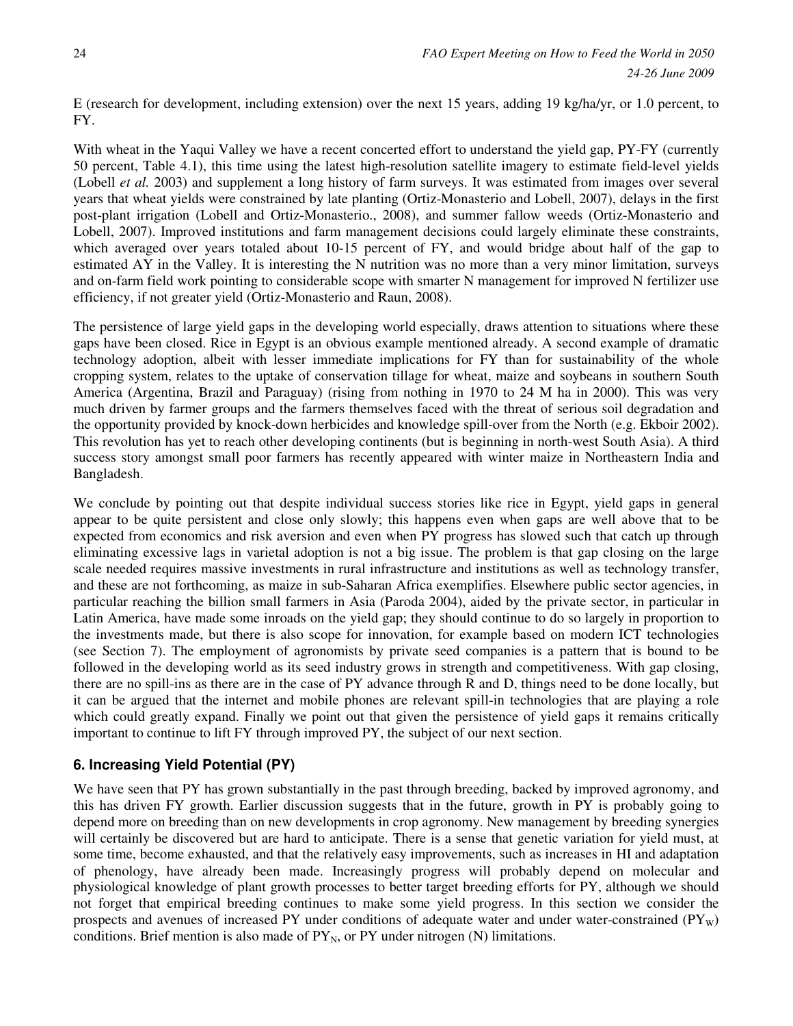E (research for development, including extension) over the next 15 years, adding 19 kg/ha/yr, or 1.0 percent, to FY.

With wheat in the Yaqui Valley we have a recent concerted effort to understand the yield gap, PY-FY (currently 50 percent, Table 4.1), this time using the latest high-resolution satellite imagery to estimate field-level yields (Lobell *et al.* 2003) and supplement a long history of farm surveys. It was estimated from images over several years that wheat yields were constrained by late planting (Ortiz-Monasterio and Lobell, 2007), delays in the first post-plant irrigation (Lobell and Ortiz-Monasterio., 2008), and summer fallow weeds (Ortiz-Monasterio and Lobell, 2007). Improved institutions and farm management decisions could largely eliminate these constraints, which averaged over years totaled about 10-15 percent of FY, and would bridge about half of the gap to estimated AY in the Valley. It is interesting the N nutrition was no more than a very minor limitation, surveys and on-farm field work pointing to considerable scope with smarter N management for improved N fertilizer use efficiency, if not greater yield (Ortiz-Monasterio and Raun, 2008).

The persistence of large yield gaps in the developing world especially, draws attention to situations where these gaps have been closed. Rice in Egypt is an obvious example mentioned already. A second example of dramatic technology adoption, albeit with lesser immediate implications for FY than for sustainability of the whole cropping system, relates to the uptake of conservation tillage for wheat, maize and soybeans in southern South America (Argentina, Brazil and Paraguay) (rising from nothing in 1970 to 24 M ha in 2000). This was very much driven by farmer groups and the farmers themselves faced with the threat of serious soil degradation and the opportunity provided by knock-down herbicides and knowledge spill-over from the North (e.g. Ekboir 2002). This revolution has yet to reach other developing continents (but is beginning in north-west South Asia). A third success story amongst small poor farmers has recently appeared with winter maize in Northeastern India and Bangladesh.

We conclude by pointing out that despite individual success stories like rice in Egypt, yield gaps in general appear to be quite persistent and close only slowly; this happens even when gaps are well above that to be expected from economics and risk aversion and even when PY progress has slowed such that catch up through eliminating excessive lags in varietal adoption is not a big issue. The problem is that gap closing on the large scale needed requires massive investments in rural infrastructure and institutions as well as technology transfer, and these are not forthcoming, as maize in sub-Saharan Africa exemplifies. Elsewhere public sector agencies, in particular reaching the billion small farmers in Asia (Paroda 2004), aided by the private sector, in particular in Latin America, have made some inroads on the yield gap; they should continue to do so largely in proportion to the investments made, but there is also scope for innovation, for example based on modern ICT technologies (see Section 7). The employment of agronomists by private seed companies is a pattern that is bound to be followed in the developing world as its seed industry grows in strength and competitiveness. With gap closing, there are no spill-ins as there are in the case of PY advance through R and D, things need to be done locally, but it can be argued that the internet and mobile phones are relevant spill-in technologies that are playing a role which could greatly expand. Finally we point out that given the persistence of yield gaps it remains critically important to continue to lift FY through improved PY, the subject of our next section.

### **6. Increasing Yield Potential (PY)**

We have seen that PY has grown substantially in the past through breeding, backed by improved agronomy, and this has driven FY growth. Earlier discussion suggests that in the future, growth in PY is probably going to depend more on breeding than on new developments in crop agronomy. New management by breeding synergies will certainly be discovered but are hard to anticipate. There is a sense that genetic variation for yield must, at some time, become exhausted, and that the relatively easy improvements, such as increases in HI and adaptation of phenology, have already been made. Increasingly progress will probably depend on molecular and physiological knowledge of plant growth processes to better target breeding efforts for PY, although we should not forget that empirical breeding continues to make some yield progress. In this section we consider the prospects and avenues of increased PY under conditions of adequate water and under water-constrained  $(PY_w)$ conditions. Brief mention is also made of  $PY_N$ , or  $PY$  under nitrogen (N) limitations.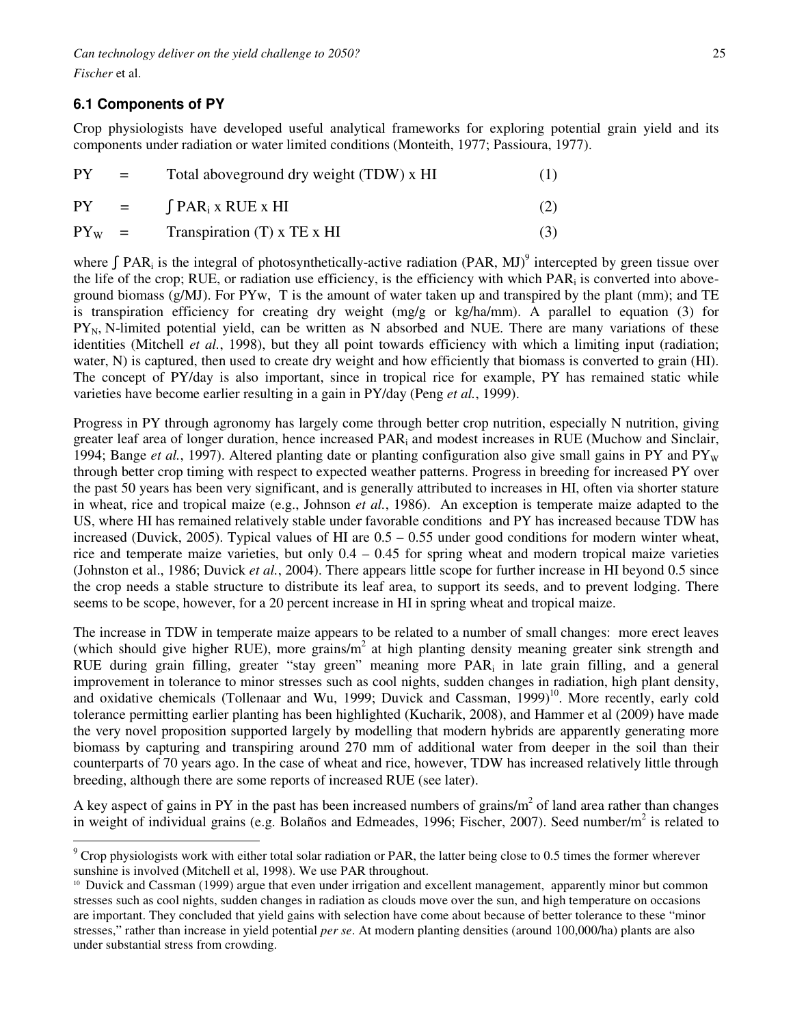*Fischer* et al.

# **6.1 Components of PY**

Crop physiologists have developed useful analytical frameworks for exploring potential grain yield and its components under radiation or water limited conditions (Monteith, 1977; Passioura, 1977).

| <b>PY</b>  | $\mathbf{r} = \mathbf{r}$            | Total above ground dry weight (TDW) x HI | (1) |
|------------|--------------------------------------|------------------------------------------|-----|
| <b>PY</b>  | $\mathbf{r} = \mathbf{r} \mathbf{r}$ | $\int$ PAR <sub>i</sub> x RUE x HI       | (2) |
| $PY_{W}$ = |                                      | Transpiration $(T)$ x TE x HI            | (3) |

where  $\int$  PAR<sub>i</sub> is the integral of photosynthetically-active radiation (PAR, MJ)<sup>9</sup> intercepted by green tissue over the life of the crop; RUE, or radiation use efficiency, is the efficiency with which  $PAR_i$  is converted into aboveground biomass  $(g/MJ)$ . For PYw, T is the amount of water taken up and transpired by the plant (mm); and TE is transpiration efficiency for creating dry weight (mg/g or kg/ha/mm). A parallel to equation (3) for  $PY_N$ , N-limited potential yield, can be written as N absorbed and NUE. There are many variations of these identities (Mitchell *et al.*, 1998), but they all point towards efficiency with which a limiting input (radiation; water, N) is captured, then used to create dry weight and how efficiently that biomass is converted to grain (HI). The concept of PY/day is also important, since in tropical rice for example, PY has remained static while varieties have become earlier resulting in a gain in PY/day (Peng *et al.*, 1999).

Progress in PY through agronomy has largely come through better crop nutrition, especially N nutrition, giving greater leaf area of longer duration, hence increased PAR<sub>i</sub> and modest increases in RUE (Muchow and Sinclair, 1994; Bange *et al.*, 1997). Altered planting date or planting configuration also give small gains in PY and PY<sub>W</sub> through better crop timing with respect to expected weather patterns. Progress in breeding for increased PY over the past 50 years has been very significant, and is generally attributed to increases in HI, often via shorter stature in wheat, rice and tropical maize (e.g., Johnson *et al.*, 1986). An exception is temperate maize adapted to the US, where HI has remained relatively stable under favorable conditions and PY has increased because TDW has increased (Duvick, 2005). Typical values of HI are 0.5 – 0.55 under good conditions for modern winter wheat, rice and temperate maize varieties, but only  $0.4 - 0.45$  for spring wheat and modern tropical maize varieties (Johnston et al., 1986; Duvick *et al.*, 2004). There appears little scope for further increase in HI beyond 0.5 since the crop needs a stable structure to distribute its leaf area, to support its seeds, and to prevent lodging. There seems to be scope, however, for a 20 percent increase in HI in spring wheat and tropical maize.

The increase in TDW in temperate maize appears to be related to a number of small changes: more erect leaves (which should give higher RUE), more grains/ $m<sup>2</sup>$  at high planting density meaning greater sink strength and RUE during grain filling, greater "stay green" meaning more PAR<sub>i</sub> in late grain filling, and a general improvement in tolerance to minor stresses such as cool nights, sudden changes in radiation, high plant density, and oxidative chemicals (Tollenaar and Wu, 1999; Duvick and Cassman, 1999)<sup>10</sup>. More recently, early cold tolerance permitting earlier planting has been highlighted (Kucharik, 2008), and Hammer et al (2009) have made the very novel proposition supported largely by modelling that modern hybrids are apparently generating more biomass by capturing and transpiring around 270 mm of additional water from deeper in the soil than their counterparts of 70 years ago. In the case of wheat and rice, however, TDW has increased relatively little through breeding, although there are some reports of increased RUE (see later).

A key aspect of gains in PY in the past has been increased numbers of grains/ $m<sup>2</sup>$  of land area rather than changes in weight of individual grains (e.g. Bolaños and Edmeades, 1996; Fischer, 2007). Seed number/m<sup>2</sup> is related to

<sup>&</sup>lt;sup>9</sup> Crop physiologists work with either total solar radiation or PAR, the latter being close to 0.5 times the former wherever sunshine is involved (Mitchell et al, 1998). We use PAR throughout.

<sup>10</sup> Duvick and Cassman (1999) argue that even under irrigation and excellent management, apparently minor but common stresses such as cool nights, sudden changes in radiation as clouds move over the sun, and high temperature on occasions are important. They concluded that yield gains with selection have come about because of better tolerance to these "minor stresses," rather than increase in yield potential *per se*. At modern planting densities (around 100,000/ha) plants are also under substantial stress from crowding.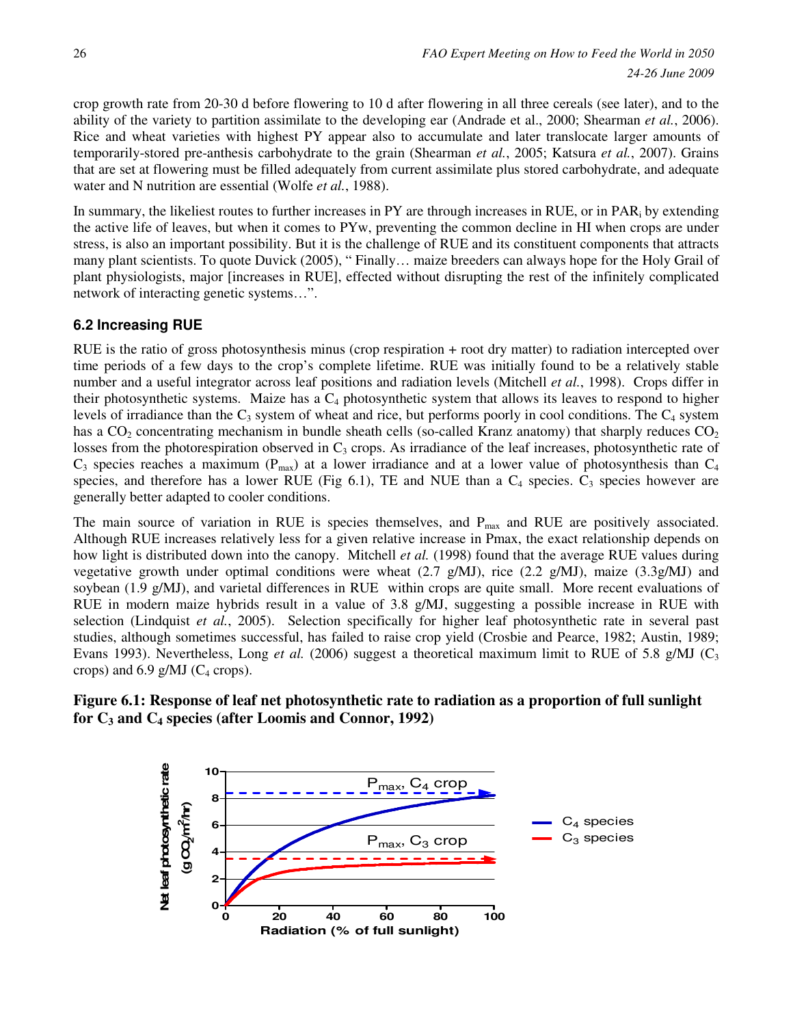crop growth rate from 20-30 d before flowering to 10 d after flowering in all three cereals (see later), and to the ability of the variety to partition assimilate to the developing ear (Andrade et al., 2000; Shearman *et al.*, 2006). Rice and wheat varieties with highest PY appear also to accumulate and later translocate larger amounts of temporarily-stored pre-anthesis carbohydrate to the grain (Shearman *et al.*, 2005; Katsura *et al.*, 2007). Grains that are set at flowering must be filled adequately from current assimilate plus stored carbohydrate, and adequate water and N nutrition are essential (Wolfe *et al.*, 1988).

In summary, the likeliest routes to further increases in PY are through increases in RUE, or in PAR<sub>i</sub> by extending the active life of leaves, but when it comes to PYw, preventing the common decline in HI when crops are under stress, is also an important possibility. But it is the challenge of RUE and its constituent components that attracts many plant scientists. To quote Duvick (2005), " Finally… maize breeders can always hope for the Holy Grail of plant physiologists, major [increases in RUE], effected without disrupting the rest of the infinitely complicated network of interacting genetic systems…".

### **6.2 Increasing RUE**

RUE is the ratio of gross photosynthesis minus (crop respiration + root dry matter) to radiation intercepted over time periods of a few days to the crop's complete lifetime. RUE was initially found to be a relatively stable number and a useful integrator across leaf positions and radiation levels (Mitchell *et al.*, 1998). Crops differ in their photosynthetic systems. Maize has a  $C_4$  photosynthetic system that allows its leaves to respond to higher levels of irradiance than the  $C_3$  system of wheat and rice, but performs poorly in cool conditions. The  $C_4$  system has a  $CO<sub>2</sub>$  concentrating mechanism in bundle sheath cells (so-called Kranz anatomy) that sharply reduces  $CO<sub>2</sub>$ losses from the photorespiration observed in  $C_3$  crops. As irradiance of the leaf increases, photosynthetic rate of  $C_3$  species reaches a maximum ( $P_{\text{max}}$ ) at a lower irradiance and at a lower value of photosynthesis than  $C_4$ species, and therefore has a lower RUE (Fig 6.1), TE and NUE than a  $C_4$  species.  $C_3$  species however are generally better adapted to cooler conditions.

The main source of variation in RUE is species themselves, and  $P_{\text{max}}$  and RUE are positively associated. Although RUE increases relatively less for a given relative increase in Pmax, the exact relationship depends on how light is distributed down into the canopy. Mitchell *et al.* (1998) found that the average RUE values during vegetative growth under optimal conditions were wheat  $(2.7 \text{ g/MJ})$ , rice  $(2.2 \text{ g/MJ})$ , maize  $(3.3 \text{ g/MJ})$  and soybean (1.9 g/MJ), and varietal differences in RUE within crops are quite small. More recent evaluations of RUE in modern maize hybrids result in a value of 3.8 g/MJ, suggesting a possible increase in RUE with selection (Lindquist *et al.*, 2005). Selection specifically for higher leaf photosynthetic rate in several past studies, although sometimes successful, has failed to raise crop yield (Crosbie and Pearce, 1982; Austin, 1989; Evans 1993). Nevertheless, Long *et al.* (2006) suggest a theoretical maximum limit to RUE of 5.8 g/MJ ( $C_3$ ) crops) and  $6.9$  g/MJ ( $C_4$  crops).

### **Figure 6.1: Response of leaf net photosynthetic rate to radiation as a proportion of full sunlight for C3 and C4 species (after Loomis and Connor, 1992)**

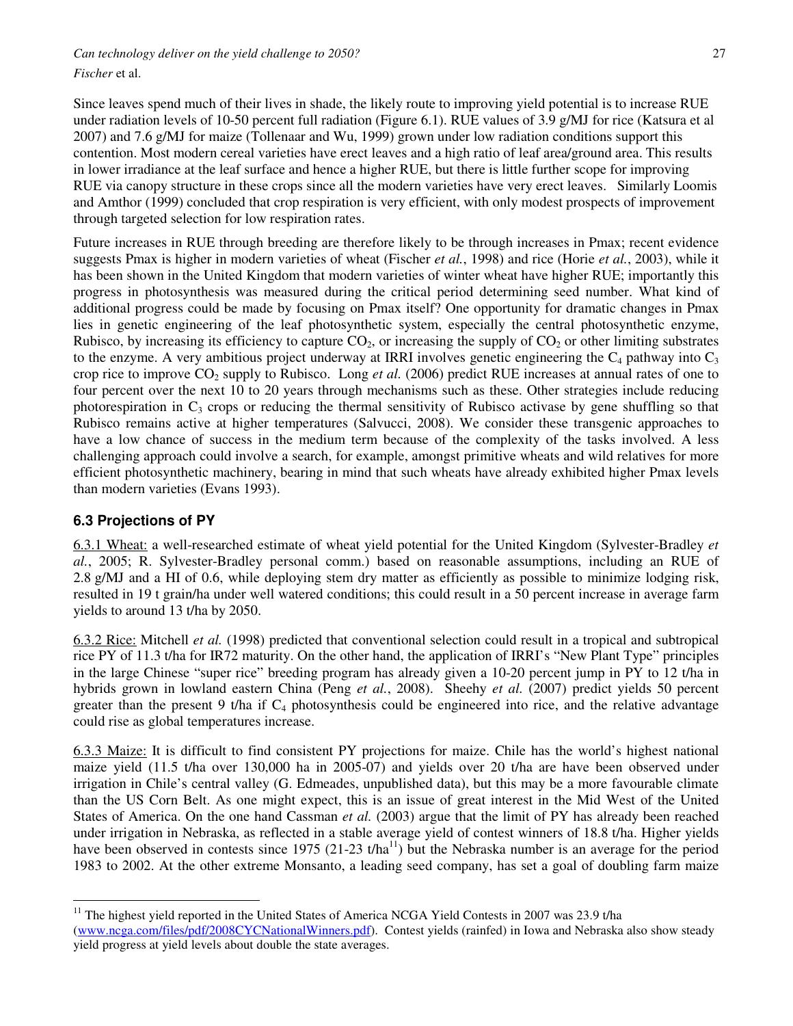*Fischer* et al.

Since leaves spend much of their lives in shade, the likely route to improving yield potential is to increase RUE under radiation levels of 10-50 percent full radiation (Figure 6.1). RUE values of 3.9 g/MJ for rice (Katsura et al 2007) and 7.6 g/MJ for maize (Tollenaar and Wu, 1999) grown under low radiation conditions support this contention. Most modern cereal varieties have erect leaves and a high ratio of leaf area/ground area. This results in lower irradiance at the leaf surface and hence a higher RUE, but there is little further scope for improving RUE via canopy structure in these crops since all the modern varieties have very erect leaves. Similarly Loomis and Amthor (1999) concluded that crop respiration is very efficient, with only modest prospects of improvement through targeted selection for low respiration rates.

Future increases in RUE through breeding are therefore likely to be through increases in Pmax; recent evidence suggests Pmax is higher in modern varieties of wheat (Fischer *et al.*, 1998) and rice (Horie *et al.*, 2003), while it has been shown in the United Kingdom that modern varieties of winter wheat have higher RUE; importantly this progress in photosynthesis was measured during the critical period determining seed number. What kind of additional progress could be made by focusing on Pmax itself? One opportunity for dramatic changes in Pmax lies in genetic engineering of the leaf photosynthetic system, especially the central photosynthetic enzyme, Rubisco, by increasing its efficiency to capture  $CO<sub>2</sub>$ , or increasing the supply of  $CO<sub>2</sub>$  or other limiting substrates to the enzyme. A very ambitious project underway at IRRI involves genetic engineering the  $C_4$  pathway into  $C_3$ crop rice to improve CO<sub>2</sub> supply to Rubisco. Long *et al.* (2006) predict RUE increases at annual rates of one to four percent over the next 10 to 20 years through mechanisms such as these. Other strategies include reducing photorespiration in  $C_3$  crops or reducing the thermal sensitivity of Rubisco activase by gene shuffling so that Rubisco remains active at higher temperatures (Salvucci, 2008). We consider these transgenic approaches to have a low chance of success in the medium term because of the complexity of the tasks involved. A less challenging approach could involve a search, for example, amongst primitive wheats and wild relatives for more efficient photosynthetic machinery, bearing in mind that such wheats have already exhibited higher Pmax levels than modern varieties (Evans 1993).

### **6.3 Projections of PY**

 $\overline{a}$ 

6.3.1 Wheat: a well-researched estimate of wheat yield potential for the United Kingdom (Sylvester-Bradley *et al.*, 2005; R. Sylvester-Bradley personal comm.) based on reasonable assumptions, including an RUE of 2.8 g/MJ and a HI of 0.6, while deploying stem dry matter as efficiently as possible to minimize lodging risk, resulted in 19 t grain/ha under well watered conditions; this could result in a 50 percent increase in average farm yields to around 13 t/ha by 2050.

6.3.2 Rice: Mitchell *et al.* (1998) predicted that conventional selection could result in a tropical and subtropical rice PY of 11.3 t/ha for IR72 maturity. On the other hand, the application of IRRI's "New Plant Type" principles in the large Chinese "super rice" breeding program has already given a 10-20 percent jump in PY to 12 t/ha in hybrids grown in lowland eastern China (Peng *et al.*, 2008). Sheehy *et al.* (2007) predict yields 50 percent greater than the present 9 t/ha if  $C_4$  photosynthesis could be engineered into rice, and the relative advantage could rise as global temperatures increase.

6.3.3 Maize: It is difficult to find consistent PY projections for maize. Chile has the world's highest national maize yield (11.5 t/ha over 130,000 ha in 2005-07) and yields over 20 t/ha are have been observed under irrigation in Chile's central valley (G. Edmeades, unpublished data), but this may be a more favourable climate than the US Corn Belt. As one might expect, this is an issue of great interest in the Mid West of the United States of America. On the one hand Cassman *et al.* (2003) argue that the limit of PY has already been reached under irrigation in Nebraska, as reflected in a stable average yield of contest winners of 18.8 t/ha. Higher yields have been observed in contests since 1975 (21-23 t/ha<sup>11</sup>) but the Nebraska number is an average for the period 1983 to 2002. At the other extreme Monsanto, a leading seed company, has set a goal of doubling farm maize

<sup>&</sup>lt;sup>11</sup> The highest yield reported in the United States of America NCGA Yield Contests in 2007 was 23.9 t/ha (www.ncga.com/files/pdf/2008CYCNationalWinners.pdf). Contest yields (rainfed) in Iowa and Nebraska also show steady yield progress at yield levels about double the state averages.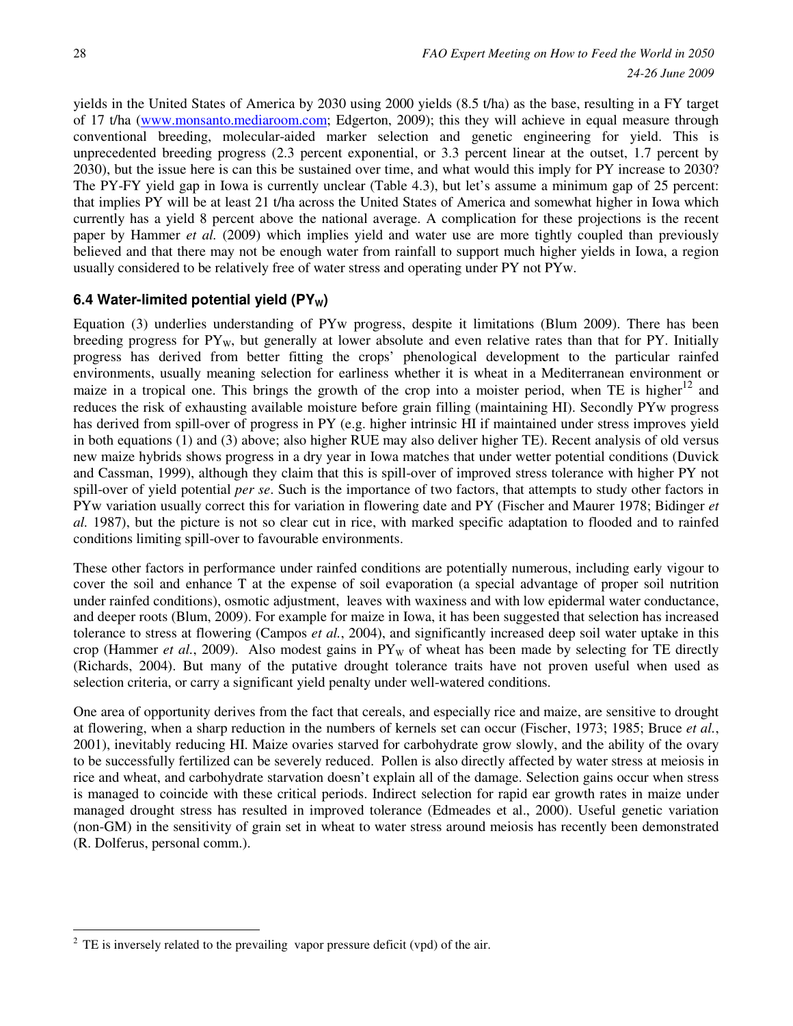yields in the United States of America by 2030 using 2000 yields (8.5 t/ha) as the base, resulting in a FY target of 17 t/ha (www.monsanto.mediaroom.com; Edgerton, 2009); this they will achieve in equal measure through conventional breeding, molecular-aided marker selection and genetic engineering for yield. This is unprecedented breeding progress (2.3 percent exponential, or 3.3 percent linear at the outset, 1.7 percent by 2030), but the issue here is can this be sustained over time, and what would this imply for PY increase to 2030? The PY-FY yield gap in Iowa is currently unclear (Table 4.3), but let's assume a minimum gap of 25 percent: that implies PY will be at least 21 t/ha across the United States of America and somewhat higher in Iowa which currently has a yield 8 percent above the national average. A complication for these projections is the recent paper by Hammer *et al.* (2009) which implies yield and water use are more tightly coupled than previously believed and that there may not be enough water from rainfall to support much higher yields in Iowa, a region usually considered to be relatively free of water stress and operating under PY not PYw.

# **6.4 Water-limited potential yield (PY<sub>W</sub>)**

Equation (3) underlies understanding of PYw progress, despite it limitations (Blum 2009). There has been breeding progress for  $PY_w$ , but generally at lower absolute and even relative rates than that for  $PY$ . Initially progress has derived from better fitting the crops' phenological development to the particular rainfed environments, usually meaning selection for earliness whether it is wheat in a Mediterranean environment or maize in a tropical one. This brings the growth of the crop into a moister period, when TE is higher<sup>12</sup> and reduces the risk of exhausting available moisture before grain filling (maintaining HI). Secondly PYw progress has derived from spill-over of progress in PY (e.g. higher intrinsic HI if maintained under stress improves yield in both equations (1) and (3) above; also higher RUE may also deliver higher TE). Recent analysis of old versus new maize hybrids shows progress in a dry year in Iowa matches that under wetter potential conditions (Duvick and Cassman, 1999), although they claim that this is spill-over of improved stress tolerance with higher PY not spill-over of yield potential *per se*. Such is the importance of two factors, that attempts to study other factors in PYw variation usually correct this for variation in flowering date and PY (Fischer and Maurer 1978; Bidinger *et al.* 1987), but the picture is not so clear cut in rice, with marked specific adaptation to flooded and to rainfed conditions limiting spill-over to favourable environments.

These other factors in performance under rainfed conditions are potentially numerous, including early vigour to cover the soil and enhance T at the expense of soil evaporation (a special advantage of proper soil nutrition under rainfed conditions), osmotic adjustment, leaves with waxiness and with low epidermal water conductance, and deeper roots (Blum, 2009). For example for maize in Iowa, it has been suggested that selection has increased tolerance to stress at flowering (Campos *et al.*, 2004), and significantly increased deep soil water uptake in this crop (Hammer *et al.*, 2009). Also modest gains in  $PY_W$  of wheat has been made by selecting for TE directly (Richards, 2004). But many of the putative drought tolerance traits have not proven useful when used as selection criteria, or carry a significant yield penalty under well-watered conditions.

One area of opportunity derives from the fact that cereals, and especially rice and maize, are sensitive to drought at flowering, when a sharp reduction in the numbers of kernels set can occur (Fischer, 1973; 1985; Bruce *et al.*, 2001), inevitably reducing HI. Maize ovaries starved for carbohydrate grow slowly, and the ability of the ovary to be successfully fertilized can be severely reduced. Pollen is also directly affected by water stress at meiosis in rice and wheat, and carbohydrate starvation doesn't explain all of the damage. Selection gains occur when stress is managed to coincide with these critical periods. Indirect selection for rapid ear growth rates in maize under managed drought stress has resulted in improved tolerance (Edmeades et al., 2000). Useful genetic variation (non-GM) in the sensitivity of grain set in wheat to water stress around meiosis has recently been demonstrated (R. Dolferus, personal comm.).

 $\overline{a}$  $2^2$  TE is inversely related to the prevailing vapor pressure deficit (vpd) of the air.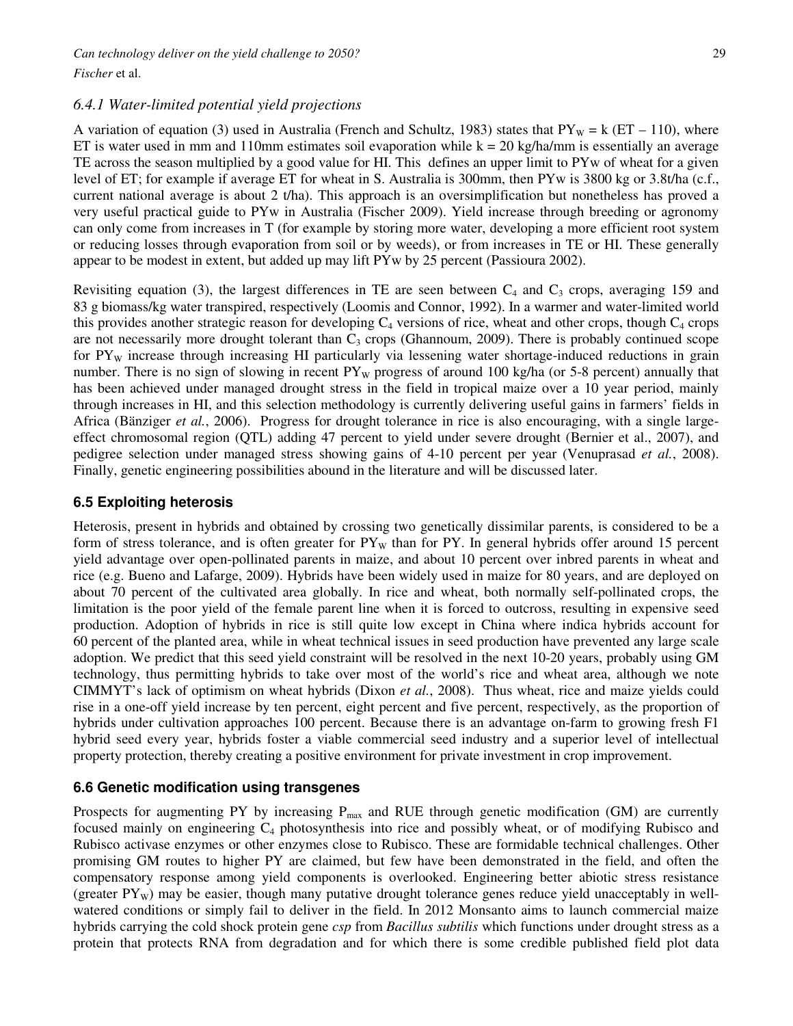### *6.4.1 Water-limited potential yield projections*

A variation of equation (3) used in Australia (French and Schultz, 1983) states that  $PY_w = k (ET - 110)$ , where ET is water used in mm and 110mm estimates soil evaporation while  $k = 20$  kg/ha/mm is essentially an average TE across the season multiplied by a good value for HI. This defines an upper limit to PYw of wheat for a given level of ET; for example if average ET for wheat in S. Australia is 300mm, then PYw is 3800 kg or 3.8t/ha (c.f., current national average is about 2 t/ha). This approach is an oversimplification but nonetheless has proved a very useful practical guide to PYw in Australia (Fischer 2009). Yield increase through breeding or agronomy can only come from increases in T (for example by storing more water, developing a more efficient root system or reducing losses through evaporation from soil or by weeds), or from increases in TE or HI. These generally appear to be modest in extent, but added up may lift PYw by 25 percent (Passioura 2002).

Revisiting equation (3), the largest differences in TE are seen between  $C_4$  and  $C_3$  crops, averaging 159 and 83 g biomass/kg water transpired, respectively (Loomis and Connor, 1992). In a warmer and water-limited world this provides another strategic reason for developing  $C_4$  versions of rice, wheat and other crops, though  $C_4$  crops are not necessarily more drought tolerant than  $C_3$  crops (Ghannoum, 2009). There is probably continued scope for  $PY_W$  increase through increasing HI particularly via lessening water shortage-induced reductions in grain number. There is no sign of slowing in recent  $PY_w$  progress of around 100 kg/ha (or 5-8 percent) annually that has been achieved under managed drought stress in the field in tropical maize over a 10 year period, mainly through increases in HI, and this selection methodology is currently delivering useful gains in farmers' fields in Africa (Bänziger *et al.*, 2006). Progress for drought tolerance in rice is also encouraging, with a single largeeffect chromosomal region (QTL) adding 47 percent to yield under severe drought (Bernier et al., 2007), and pedigree selection under managed stress showing gains of 4-10 percent per year (Venuprasad *et al.*, 2008). Finally, genetic engineering possibilities abound in the literature and will be discussed later.

### **6.5 Exploiting heterosis**

Heterosis, present in hybrids and obtained by crossing two genetically dissimilar parents, is considered to be a form of stress tolerance, and is often greater for  $PY_W$  than for PY. In general hybrids offer around 15 percent yield advantage over open-pollinated parents in maize, and about 10 percent over inbred parents in wheat and rice (e.g. Bueno and Lafarge, 2009). Hybrids have been widely used in maize for 80 years, and are deployed on about 70 percent of the cultivated area globally. In rice and wheat, both normally self-pollinated crops, the limitation is the poor yield of the female parent line when it is forced to outcross, resulting in expensive seed production. Adoption of hybrids in rice is still quite low except in China where indica hybrids account for 60 percent of the planted area, while in wheat technical issues in seed production have prevented any large scale adoption. We predict that this seed yield constraint will be resolved in the next 10-20 years, probably using GM technology, thus permitting hybrids to take over most of the world's rice and wheat area, although we note CIMMYT's lack of optimism on wheat hybrids (Dixon *et al.*, 2008). Thus wheat, rice and maize yields could rise in a one-off yield increase by ten percent, eight percent and five percent, respectively, as the proportion of hybrids under cultivation approaches 100 percent. Because there is an advantage on-farm to growing fresh F1 hybrid seed every year, hybrids foster a viable commercial seed industry and a superior level of intellectual property protection, thereby creating a positive environment for private investment in crop improvement.

### **6.6 Genetic modification using transgenes**

Prospects for augmenting PY by increasing  $P_{max}$  and RUE through genetic modification (GM) are currently focused mainly on engineering  $C_4$  photosynthesis into rice and possibly wheat, or of modifying Rubisco and Rubisco activase enzymes or other enzymes close to Rubisco. These are formidable technical challenges. Other promising GM routes to higher PY are claimed, but few have been demonstrated in the field, and often the compensatory response among yield components is overlooked. Engineering better abiotic stress resistance (greater  $PY_w$ ) may be easier, though many putative drought tolerance genes reduce yield unacceptably in wellwatered conditions or simply fail to deliver in the field. In 2012 Monsanto aims to launch commercial maize hybrids carrying the cold shock protein gene *csp* from *Bacillus subtilis* which functions under drought stress as a protein that protects RNA from degradation and for which there is some credible published field plot data